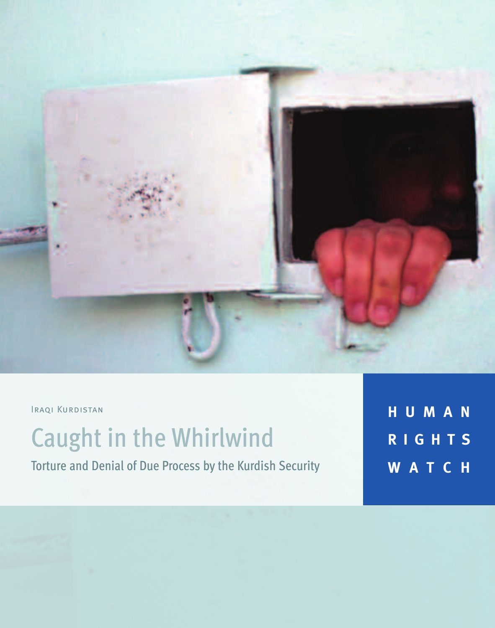

Iraqi Kurdistan

# Caught in the Whirlwind

Torture and Denial of Due Process by the Kurdish Security

**H U M A N R I G H T S W A T C H**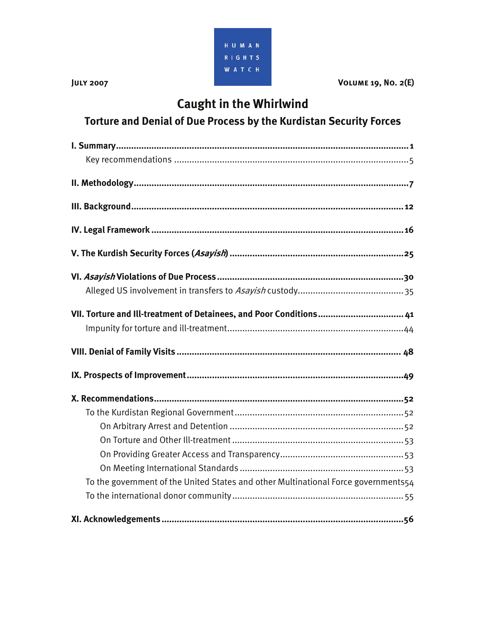

**JULY 2007** VOLUME 19, NO. 2(E)

## **Caught in the Whirlwind**

### **Torture and Denial of Due Process by the Kurdistan Security Forces**

| VII. Torture and Ill-treatment of Detainees, and Poor Conditions 41                |
|------------------------------------------------------------------------------------|
|                                                                                    |
|                                                                                    |
|                                                                                    |
|                                                                                    |
|                                                                                    |
|                                                                                    |
|                                                                                    |
|                                                                                    |
|                                                                                    |
| To the government of the United States and other Multinational Force governments54 |
|                                                                                    |
|                                                                                    |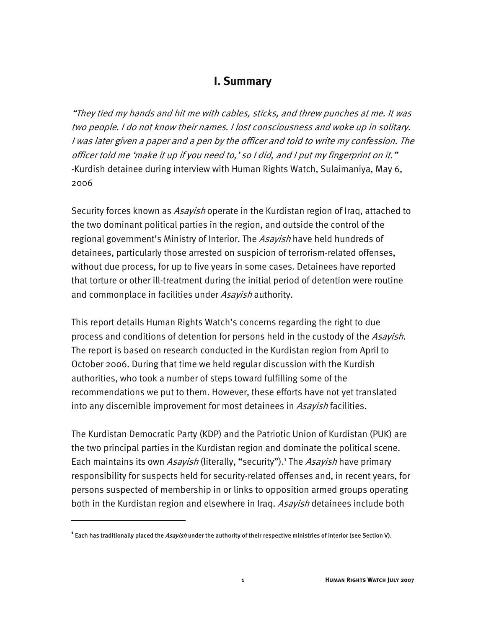#### **I. Summary**

"They tied my hands and hit me with cables, sticks, and threw punches at me. It was two people. I do not know their names. I lost consciousness and woke up in solitary. I was later given a paper and a pen by the officer and told to write my confession. The officer told me 'make it up if you need to,' so I did, and I put my fingerprint on it." -Kurdish detainee during interview with Human Rights Watch, Sulaimaniya, May 6, 2006

Security forces known as *Asayish* operate in the Kurdistan region of Iraq, attached to the two dominant political parties in the region, and outside the control of the regional government's Ministry of Interior. The Asayish have held hundreds of detainees, particularly those arrested on suspicion of terrorism-related offenses, without due process, for up to five years in some cases. Detainees have reported that torture or other ill-treatment during the initial period of detention were routine and commonplace in facilities under *Asayish* authority.

This report details Human Rights Watch's concerns regarding the right to due process and conditions of detention for persons held in the custody of the Asayish. The report is based on research conducted in the Kurdistan region from April to October 2006. During that time we held regular discussion with the Kurdish authorities, who took a number of steps toward fulfilling some of the recommendations we put to them. However, these efforts have not yet translated into any discernible improvement for most detainees in Asayish facilities.

The Kurdistan Democratic Party (KDP) and the Patriotic Union of Kurdistan (PUK) are the two principal parties in the Kurdistan region and dominate the political scene. Each maintains its own Asayish (literally, "security").<sup>1</sup> The Asayish have primary responsibility for suspects held for security-related offenses and, in recent years, for persons suspected of membership in or links to opposition armed groups operating both in the Kurdistan region and elsewhere in Iraq. Asavish detainees include both

<sup>&</sup>lt;sup>1</sup> Each has traditionally placed the *Asayish* under the authority of their respective ministries of interior (see Section V).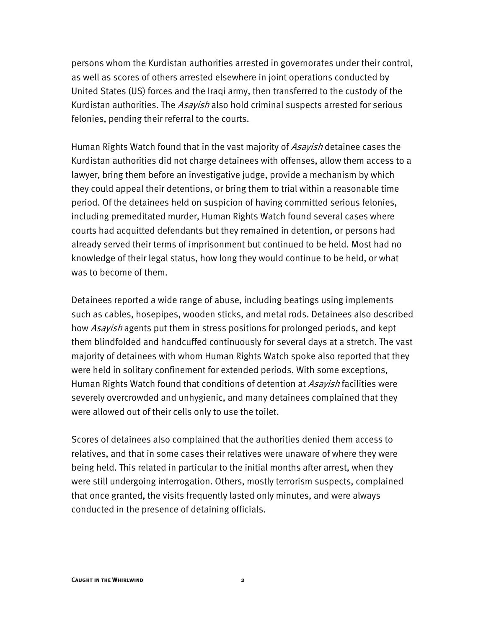persons whom the Kurdistan authorities arrested in governorates under their control, as well as scores of others arrested elsewhere in joint operations conducted by United States (US) forces and the Iraqi army, then transferred to the custody of the Kurdistan authorities. The *Asayish* also hold criminal suspects arrested for serious felonies, pending their referral to the courts.

Human Rights Watch found that in the vast majority of *Asayish* detainee cases the Kurdistan authorities did not charge detainees with offenses, allow them access to a lawyer, bring them before an investigative judge, provide a mechanism by which they could appeal their detentions, or bring them to trial within a reasonable time period. Of the detainees held on suspicion of having committed serious felonies, including premeditated murder, Human Rights Watch found several cases where courts had acquitted defendants but they remained in detention, or persons had already served their terms of imprisonment but continued to be held. Most had no knowledge of their legal status, how long they would continue to be held, or what was to become of them.

Detainees reported a wide range of abuse, including beatings using implements such as cables, hosepipes, wooden sticks, and metal rods. Detainees also described how Asayish agents put them in stress positions for prolonged periods, and kept them blindfolded and handcuffed continuously for several days at a stretch. The vast majority of detainees with whom Human Rights Watch spoke also reported that they were held in solitary confinement for extended periods. With some exceptions, Human Rights Watch found that conditions of detention at Asayish facilities were severely overcrowded and unhygienic, and many detainees complained that they were allowed out of their cells only to use the toilet.

Scores of detainees also complained that the authorities denied them access to relatives, and that in some cases their relatives were unaware of where they were being held. This related in particular to the initial months after arrest, when they were still undergoing interrogation. Others, mostly terrorism suspects, complained that once granted, the visits frequently lasted only minutes, and were always conducted in the presence of detaining officials.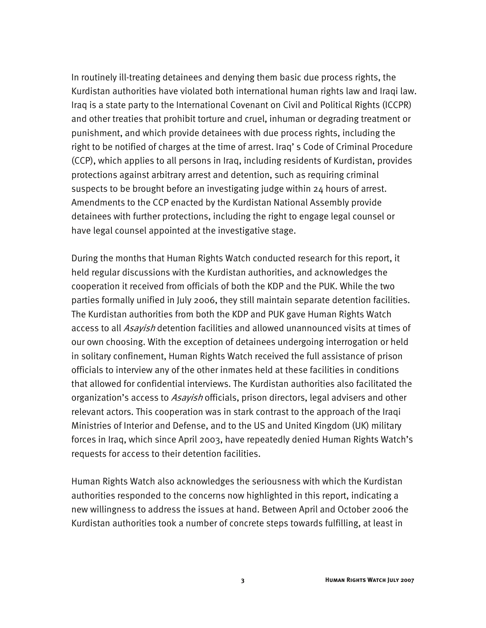In routinely ill-treating detainees and denying them basic due process rights, the Kurdistan authorities have violated both international human rights law and Iraqi law. Iraq is a state party to the International Covenant on Civil and Political Rights (ICCPR) and other treaties that prohibit torture and cruel, inhuman or degrading treatment or punishment, and which provide detainees with due process rights, including the right to be notified of charges at the time of arrest. Iraq' s Code of Criminal Procedure (CCP), which applies to all persons in Iraq, including residents of Kurdistan, provides protections against arbitrary arrest and detention, such as requiring criminal suspects to be brought before an investigating judge within 24 hours of arrest. Amendments to the CCP enacted by the Kurdistan National Assembly provide detainees with further protections, including the right to engage legal counsel or have legal counsel appointed at the investigative stage.

During the months that Human Rights Watch conducted research for this report, it held regular discussions with the Kurdistan authorities, and acknowledges the cooperation it received from officials of both the KDP and the PUK. While the two parties formally unified in July 2006, they still maintain separate detention facilities. The Kurdistan authorities from both the KDP and PUK gave Human Rights Watch access to all *Asayish* detention facilities and allowed unannounced visits at times of our own choosing. With the exception of detainees undergoing interrogation or held in solitary confinement, Human Rights Watch received the full assistance of prison officials to interview any of the other inmates held at these facilities in conditions that allowed for confidential interviews. The Kurdistan authorities also facilitated the organization's access to Asavish officials, prison directors, legal advisers and other relevant actors. This cooperation was in stark contrast to the approach of the Iraqi Ministries of Interior and Defense, and to the US and United Kingdom (UK) military forces in Iraq, which since April 2003, have repeatedly denied Human Rights Watch's requests for access to their detention facilities.

Human Rights Watch also acknowledges the seriousness with which the Kurdistan authorities responded to the concerns now highlighted in this report, indicating a new willingness to address the issues at hand. Between April and October 2006 the Kurdistan authorities took a number of concrete steps towards fulfilling, at least in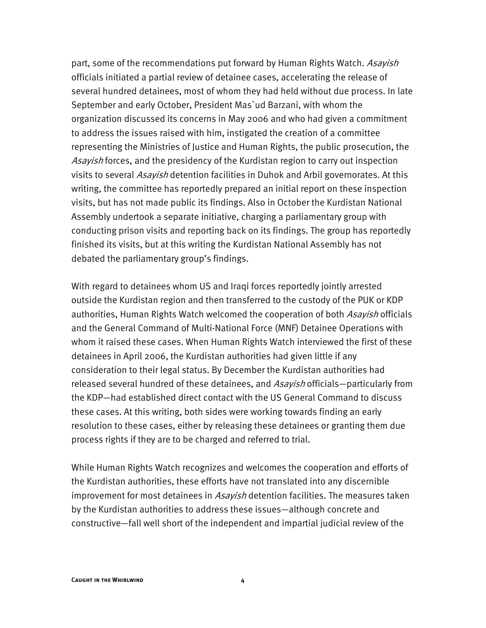part, some of the recommendations put forward by Human Rights Watch. Asayish officials initiated a partial review of detainee cases, accelerating the release of several hundred detainees, most of whom they had held without due process. In late September and early October, President Mas`ud Barzani, with whom the organization discussed its concerns in May 2006 and who had given a commitment to address the issues raised with him, instigated the creation of a committee representing the Ministries of Justice and Human Rights, the public prosecution, the Asayish forces, and the presidency of the Kurdistan region to carry out inspection visits to several Asayish detention facilities in Duhok and Arbil governorates. At this writing, the committee has reportedly prepared an initial report on these inspection visits, but has not made public its findings. Also in October the Kurdistan National Assembly undertook a separate initiative, charging a parliamentary group with conducting prison visits and reporting back on its findings. The group has reportedly finished its visits, but at this writing the Kurdistan National Assembly has not debated the parliamentary group's findings.

With regard to detainees whom US and Iraqi forces reportedly jointly arrested outside the Kurdistan region and then transferred to the custody of the PUK or KDP authorities, Human Rights Watch welcomed the cooperation of both Asayish officials and the General Command of Multi-National Force (MNF) Detainee Operations with whom it raised these cases. When Human Rights Watch interviewed the first of these detainees in April 2006, the Kurdistan authorities had given little if any consideration to their legal status. By December the Kurdistan authorities had released several hundred of these detainees, and Asayish officials—particularly from the KDP—had established direct contact with the US General Command to discuss these cases. At this writing, both sides were working towards finding an early resolution to these cases, either by releasing these detainees or granting them due process rights if they are to be charged and referred to trial.

While Human Rights Watch recognizes and welcomes the cooperation and efforts of the Kurdistan authorities, these efforts have not translated into any discernible improvement for most detainees in Asayish detention facilities. The measures taken by the Kurdistan authorities to address these issues—although concrete and constructive—fall well short of the independent and impartial judicial review of the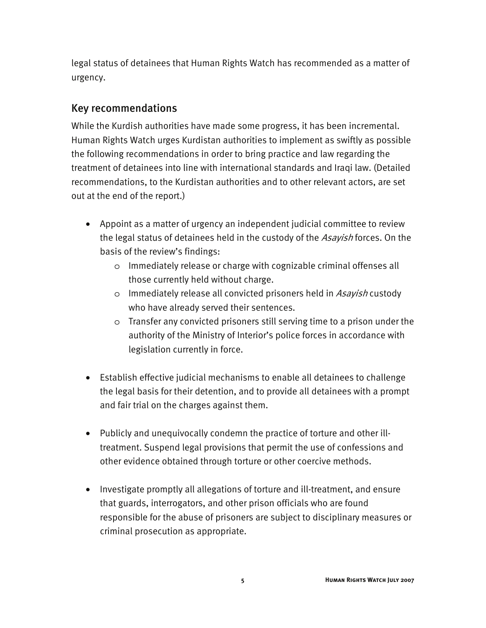legal status of detainees that Human Rights Watch has recommended as a matter of urgency.

#### Key recommendations

While the Kurdish authorities have made some progress, it has been incremental. Human Rights Watch urges Kurdistan authorities to implement as swiftly as possible the following recommendations in order to bring practice and law regarding the treatment of detainees into line with international standards and Iraqi law. (Detailed recommendations, to the Kurdistan authorities and to other relevant actors, are set out at the end of the report.)

- Appoint as a matter of urgency an independent judicial committee to review the legal status of detainees held in the custody of the Asayish forces. On the basis of the review's findings:
	- o Immediately release or charge with cognizable criminal offenses all those currently held without charge.
	- $\circ$  Immediately release all convicted prisoners held in Asayish custody who have already served their sentences.
	- o Transfer any convicted prisoners still serving time to a prison under the authority of the Ministry of Interior's police forces in accordance with legislation currently in force.
- Establish effective judicial mechanisms to enable all detainees to challenge the legal basis for their detention, and to provide all detainees with a prompt and fair trial on the charges against them.
- Publicly and unequivocally condemn the practice of torture and other illtreatment. Suspend legal provisions that permit the use of confessions and other evidence obtained through torture or other coercive methods.
- Investigate promptly all allegations of torture and ill-treatment, and ensure that guards, interrogators, and other prison officials who are found responsible for the abuse of prisoners are subject to disciplinary measures or criminal prosecution as appropriate.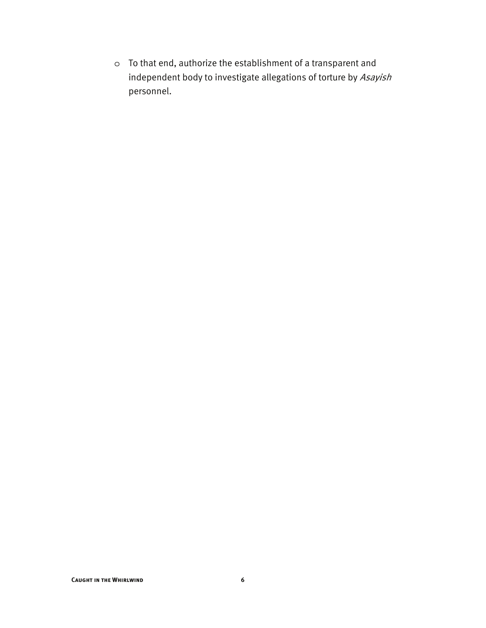o To that end, authorize the establishment of a transparent and independent body to investigate allegations of torture by Asayish personnel.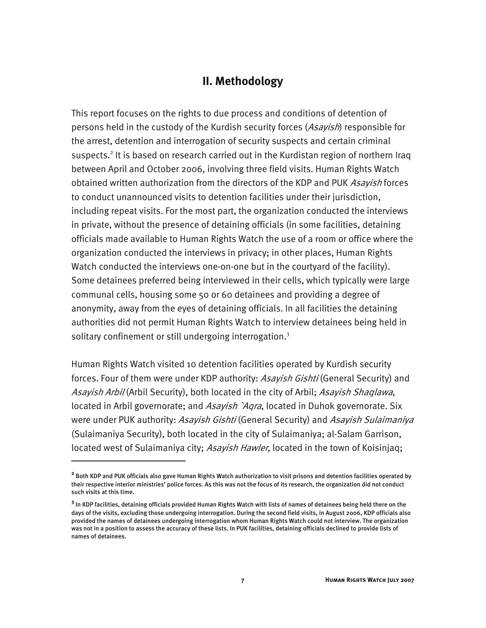#### **II. Methodology**

This report focuses on the rights to due process and conditions of detention of persons held in the custody of the Kurdish security forces (Asavish) responsible for the arrest, detention and interrogation of security suspects and certain criminal suspects.<sup>2</sup> It is based on research carried out in the Kurdistan region of northern Iraq between April and October 2006, involving three field visits. Human Rights Watch obtained written authorization from the directors of the KDP and PUK Asayish forces to conduct unannounced visits to detention facilities under their jurisdiction, including repeat visits. For the most part, the organization conducted the interviews in private, without the presence of detaining officials (in some facilities, detaining officials made available to Human Rights Watch the use of a room or office where the organization conducted the interviews in privacy; in other places, Human Rights Watch conducted the interviews one-on-one but in the courtyard of the facility). Some detainees preferred being interviewed in their cells, which typically were large communal cells, housing some 50 or 60 detainees and providing a degree of anonymity, away from the eyes of detaining officials. In all facilities the detaining authorities did not permit Human Rights Watch to interview detainees being held in solitary confinement or still undergoing interrogation.<sup>3</sup>

Human Rights Watch visited 10 detention facilities operated by Kurdish security forces. Four of them were under KDP authority: Asayish Gishti (General Security) and Asayish Arbil (Arbil Security), both located in the city of Arbil; Asayish Shaqlawa, located in Arbil governorate; and *Asayish `Aqra*, located in Duhok governorate. Six were under PUK authority: Asayish Gishti (General Security) and Asayish Sulaimaniya (Sulaimaniya Security), both located in the city of Sulaimaniya; al-Salam Garrison, located west of Sulaimaniya city; Asayish Hawler, located in the town of Koisinjaq;

**<sup>2</sup>** Both KDP and PUK officials also gave Human Rights Watch authorization to visit prisons and detention facilities operated by their respective interior ministries' police forces. As this was not the focus of its research, the organization did not conduct such visits at this time.

**<sup>3</sup>** In KDP facilities, detaining officials provided Human Rights Watch with lists of names of detainees being held there on the days of the visits, excluding those undergoing interrogation. During the second field visits, in August 2006, KDP officials also provided the names of detainees undergoing interrogation whom Human Rights Watch could not interview. The organization was not in a position to assess the accuracy of these lists. In PUK facilities, detaining officials declined to provide lists of names of detainees.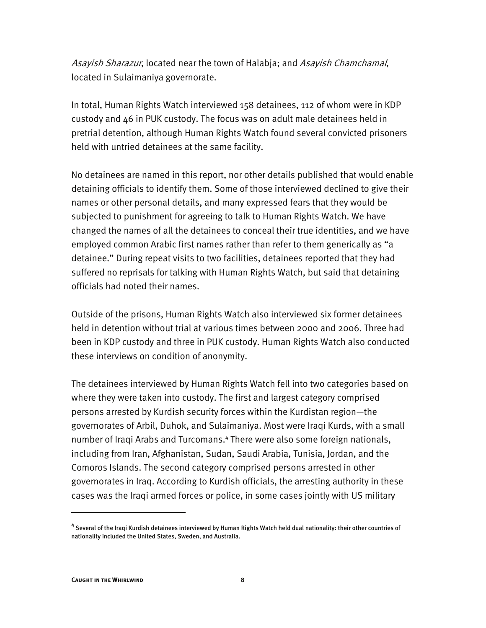Asayish Sharazur, located near the town of Halabja; and Asayish Chamchamal, located in Sulaimaniya governorate.

In total, Human Rights Watch interviewed 158 detainees, 112 of whom were in KDP custody and 46 in PUK custody. The focus was on adult male detainees held in pretrial detention, although Human Rights Watch found several convicted prisoners held with untried detainees at the same facility.

No detainees are named in this report, nor other details published that would enable detaining officials to identify them. Some of those interviewed declined to give their names or other personal details, and many expressed fears that they would be subjected to punishment for agreeing to talk to Human Rights Watch. We have changed the names of all the detainees to conceal their true identities, and we have employed common Arabic first names rather than refer to them generically as "a detainee." During repeat visits to two facilities, detainees reported that they had suffered no reprisals for talking with Human Rights Watch, but said that detaining officials had noted their names.

Outside of the prisons, Human Rights Watch also interviewed six former detainees held in detention without trial at various times between 2000 and 2006. Three had been in KDP custody and three in PUK custody. Human Rights Watch also conducted these interviews on condition of anonymity.

The detainees interviewed by Human Rights Watch fell into two categories based on where they were taken into custody. The first and largest category comprised persons arrested by Kurdish security forces within the Kurdistan region—the governorates of Arbil, Duhok, and Sulaimaniya. Most were Iraqi Kurds, with a small number of Iraqi Arabs and Turcomans.4 There were also some foreign nationals, including from Iran, Afghanistan, Sudan, Saudi Arabia, Tunisia, Jordan, and the Comoros Islands. The second category comprised persons arrested in other governorates in Iraq. According to Kurdish officials, the arresting authority in these cases was the Iraqi armed forces or police, in some cases jointly with US military

**<sup>4</sup>** Several of the Iraqi Kurdish detainees interviewed by Human Rights Watch held dual nationality: their other countries of nationality included the United States, Sweden, and Australia.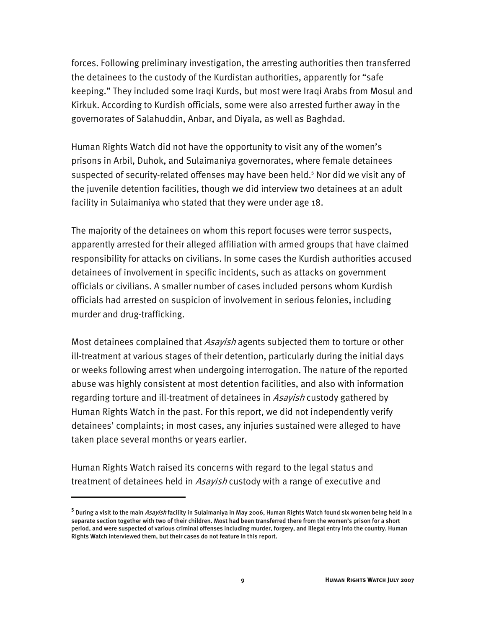forces. Following preliminary investigation, the arresting authorities then transferred the detainees to the custody of the Kurdistan authorities, apparently for "safe keeping." They included some Iraqi Kurds, but most were Iraqi Arabs from Mosul and Kirkuk. According to Kurdish officials, some were also arrested further away in the governorates of Salahuddin, Anbar, and Diyala, as well as Baghdad.

Human Rights Watch did not have the opportunity to visit any of the women's prisons in Arbil, Duhok, and Sulaimaniya governorates, where female detainees suspected of security-related offenses may have been held.<sup>5</sup> Nor did we visit any of the juvenile detention facilities, though we did interview two detainees at an adult facility in Sulaimaniya who stated that they were under age 18.

The majority of the detainees on whom this report focuses were terror suspects, apparently arrested for their alleged affiliation with armed groups that have claimed responsibility for attacks on civilians. In some cases the Kurdish authorities accused detainees of involvement in specific incidents, such as attacks on government officials or civilians. A smaller number of cases included persons whom Kurdish officials had arrested on suspicion of involvement in serious felonies, including murder and drug-trafficking.

Most detainees complained that *Asayish* agents subjected them to torture or other ill-treatment at various stages of their detention, particularly during the initial days or weeks following arrest when undergoing interrogation. The nature of the reported abuse was highly consistent at most detention facilities, and also with information regarding torture and ill-treatment of detainees in Asavish custody gathered by Human Rights Watch in the past. For this report, we did not independently verify detainees' complaints; in most cases, any injuries sustained were alleged to have taken place several months or years earlier.

Human Rights Watch raised its concerns with regard to the legal status and treatment of detainees held in *Asayish* custody with a range of executive and

<sup>&</sup>lt;sup>5</sup> During a visit to the main *Asayish* facility in Sulaimaniya in May 2006, Human Rights Watch found six women being held in a separate section together with two of their children. Most had been transferred there from the women's prison for a short period, and were suspected of various criminal offenses including murder, forgery, and illegal entry into the country. Human Rights Watch interviewed them, but their cases do not feature in this report.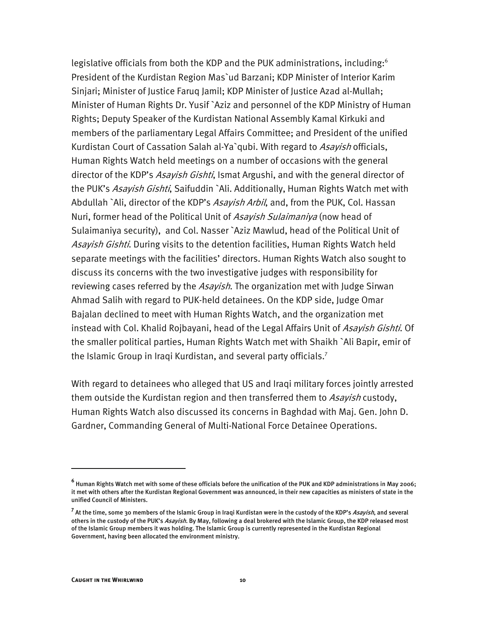legislative officials from both the KDP and the PUK administrations, including: $6$ President of the Kurdistan Region Mas`ud Barzani; KDP Minister of Interior Karim Sinjari; Minister of Justice Faruq Jamil; KDP Minister of Justice Azad al-Mullah; Minister of Human Rights Dr. Yusif `Aziz and personnel of the KDP Ministry of Human Rights; Deputy Speaker of the Kurdistan National Assembly Kamal Kirkuki and members of the parliamentary Legal Affairs Committee; and President of the unified Kurdistan Court of Cassation Salah al-Ya`qubi. With regard to Asayish officials, Human Rights Watch held meetings on a number of occasions with the general director of the KDP's *Asayish Gishti*, Ismat Argushi, and with the general director of the PUK's Asayish Gishti, Saifuddin `Ali. Additionally, Human Rights Watch met with Abdullah `Ali, director of the KDP's Asayish Arbil, and, from the PUK, Col. Hassan Nuri, former head of the Political Unit of Asayish Sulaimaniya (now head of Sulaimaniya security), and Col. Nasser `Aziz Mawlud, head of the Political Unit of Asayish Gishti. During visits to the detention facilities, Human Rights Watch held separate meetings with the facilities' directors. Human Rights Watch also sought to discuss its concerns with the two investigative judges with responsibility for reviewing cases referred by the *Asayish*. The organization met with Judge Sirwan Ahmad Salih with regard to PUK-held detainees. On the KDP side, Judge Omar Bajalan declined to meet with Human Rights Watch, and the organization met instead with Col. Khalid Rojbayani, head of the Legal Affairs Unit of Asayish Gishti. Of the smaller political parties, Human Rights Watch met with Shaikh `Ali Bapir, emir of the Islamic Group in Iraqi Kurdistan, and several party officials.<sup>7</sup>

With regard to detainees who alleged that US and Iraqi military forces jointly arrested them outside the Kurdistan region and then transferred them to Asavish custody, Human Rights Watch also discussed its concerns in Baghdad with Maj. Gen. John D. Gardner, Commanding General of Multi-National Force Detainee Operations.

**<sup>6</sup>** Human Rights Watch met with some of these officials before the unification of the PUK and KDP administrations in May 2006; it met with others after the Kurdistan Regional Government was announced, in their new capacities as ministers of state in the unified Council of Ministers.

<sup>&</sup>lt;sup>7</sup> At the time, some 30 members of the Islamic Group in Iraqi Kurdistan were in the custody of the KDP's *Asayish*, and several others in the custody of the PUK's *Asayish*. By May, following a deal brokered with the Islamic Group, the KDP released most of the Islamic Group members it was holding. The Islamic Group is currently represented in the Kurdistan Regional Government, having been allocated the environment ministry.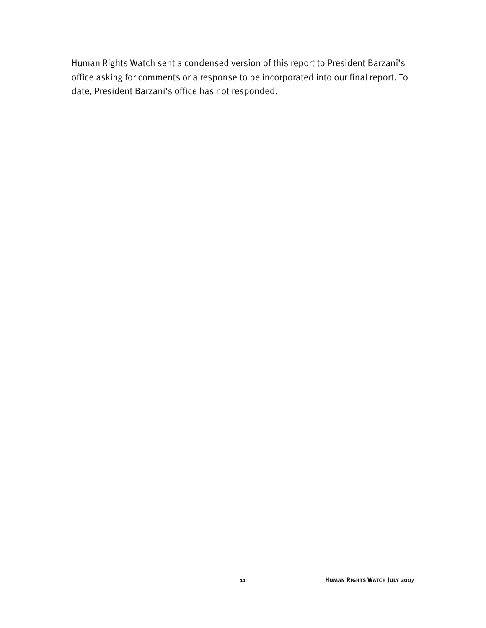Human Rights Watch sent a condensed version of this report to President Barzani's office asking for comments or a response to be incorporated into our final report. To date, President Barzani's office has not responded.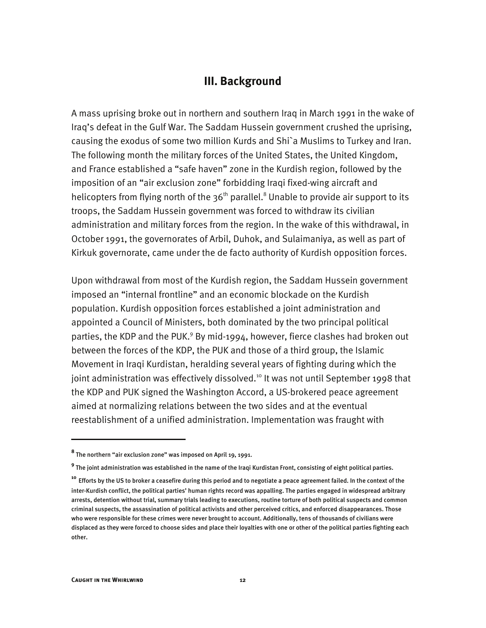#### **III. Background**

A mass uprising broke out in northern and southern Iraq in March 1991 in the wake of Iraq's defeat in the Gulf War. The Saddam Hussein government crushed the uprising, causing the exodus of some two million Kurds and Shi`a Muslims to Turkey and Iran. The following month the military forces of the United States, the United Kingdom, and France established a "safe haven" zone in the Kurdish region, followed by the imposition of an "air exclusion zone" forbidding Iraqi fixed-wing aircraft and helicopters from flying north of the 36<sup>th</sup> parallel.<sup>8</sup> Unable to provide air support to its troops, the Saddam Hussein government was forced to withdraw its civilian administration and military forces from the region. In the wake of this withdrawal, in October 1991, the governorates of Arbil, Duhok, and Sulaimaniya, as well as part of Kirkuk governorate, came under the de facto authority of Kurdish opposition forces.

Upon withdrawal from most of the Kurdish region, the Saddam Hussein government imposed an "internal frontline" and an economic blockade on the Kurdish population. Kurdish opposition forces established a joint administration and appointed a Council of Ministers, both dominated by the two principal political parties, the KDP and the PUK.<sup>9</sup> By mid-1994, however, fierce clashes had broken out between the forces of the KDP, the PUK and those of a third group, the Islamic Movement in Iraqi Kurdistan, heralding several years of fighting during which the joint administration was effectively dissolved.<sup>10</sup> It was not until September 1998 that the KDP and PUK signed the Washington Accord, a US-brokered peace agreement aimed at normalizing relations between the two sides and at the eventual reestablishment of a unified administration. Implementation was fraught with

j

**<sup>8</sup>** The northern "air exclusion zone" was imposed on April 19, 1991.

**<sup>9</sup>** The joint administration was established in the name of the Iraqi Kurdistan Front, consisting of eight political parties.

**<sup>10</sup>** Efforts by the US to broker a ceasefire during this period and to negotiate a peace agreement failed. In the context of the inter-Kurdish conflict, the political parties' human rights record was appalling. The parties engaged in widespread arbitrary arrests, detention without trial, summary trials leading to executions, routine torture of both political suspects and common criminal suspects, the assassination of political activists and other perceived critics, and enforced disappearances. Those who were responsible for these crimes were never brought to account. Additionally, tens of thousands of civilians were displaced as they were forced to choose sides and place their loyalties with one or other of the political parties fighting each other.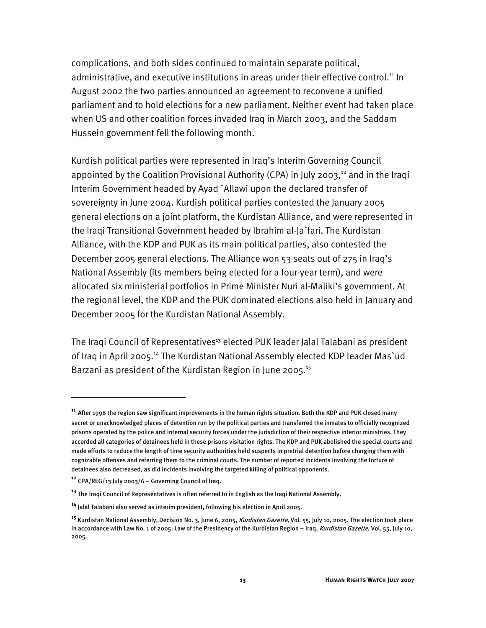complications, and both sides continued to maintain separate political, administrative, and executive institutions in areas under their effective control.<sup>11</sup> In August 2002 the two parties announced an agreement to reconvene a unified parliament and to hold elections for a new parliament. Neither event had taken place when US and other coalition forces invaded Iraq in March 2003, and the Saddam Hussein government fell the following month.

Kurdish political parties were represented in Iraq's Interim Governing Council appointed by the Coalition Provisional Authority (CPA) in July 2003, $12$  and in the Iragi Interim Government headed by Ayad `Allawi upon the declared transfer of sovereignty in June 2004. Kurdish political parties contested the January 2005 general elections on a joint platform, the Kurdistan Alliance, and were represented in the Iraqi Transitional Government headed by Ibrahim al-Ja`fari. The Kurdistan Alliance, with the KDP and PUK as its main political parties, also contested the December 2005 general elections. The Alliance won 53 seats out of 275 in Iraq's National Assembly (its members being elected for a four-year term), and were allocated six ministerial portfolios in Prime Minister Nuri al-Maliki's government. At the regional level, the KDP and the PUK dominated elections also held in January and December 2005 for the Kurdistan National Assembly.

The Iraqi Council of Representatives**<sup>13</sup>** elected PUK leader Jalal Talabani as president of Iraq in April 2005.<sup>14</sup> The Kurdistan National Assembly elected KDP leader Mas'ud Barzani as president of the Kurdistan Region in June 2005.<sup>15</sup>

**<sup>11</sup>** After 1998 the region saw significant improvements in the human rights situation. Both the KDP and PUK closed many secret or unacknowledged places of detention run by the political parties and transferred the inmates to officially recognized prisons operated by the police and internal security forces under the jurisdiction of their respective interior ministries. They accorded all categories of detainees held in these prisons visitation rights. The KDP and PUK abolished the special courts and made efforts to reduce the length of time security authorities held suspects in pretrial detention before charging them with cognizable offenses and referring them to the criminal courts. The number of reported incidents involving the torture of detainees also decreased, as did incidents involving the targeted killing of political opponents.

**<sup>12</sup>** CPA/REG/13 July 2003/6 – Governing Council of Iraq.

**<sup>13</sup>** The Iraqi Council of Representatives is often referred to in English as the Iraqi National Assembly.

**<sup>14</sup>** Jalal Talabani also served as interim president, following his election in April 2005.

**<sup>15</sup>** Kurdistan National Assembly, Decision No. 3, June 6, 2005, Kurdistan Gazette, Vol. 55, July 10, 2005. The election took place in accordance with Law No. 1 of 2005: Law of the Presidency of the Kurdistan Region – Iraq, Kurdistan Gazette, Vol. 55, July 10, 2005.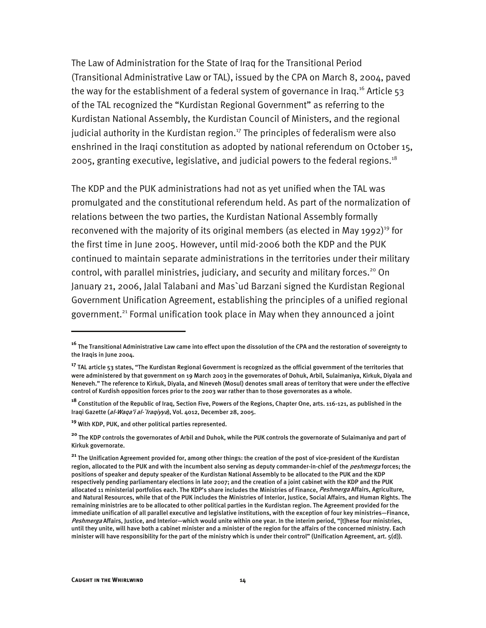The Law of Administration for the State of Iraq for the Transitional Period (Transitional Administrative Law or TAL), issued by the CPA on March 8, 2004, paved the way for the establishment of a federal system of governance in Iraq.<sup>16</sup> Article 53 of the TAL recognized the "Kurdistan Regional Government" as referring to the Kurdistan National Assembly, the Kurdistan Council of Ministers, and the regional judicial authority in the Kurdistan region.<sup>17</sup> The principles of federalism were also enshrined in the Iraqi constitution as adopted by national referendum on October 15, 2005, granting executive, legislative, and judicial powers to the federal regions.<sup>18</sup>

The KDP and the PUK administrations had not as yet unified when the TAL was promulgated and the constitutional referendum held. As part of the normalization of relations between the two parties, the Kurdistan National Assembly formally reconvened with the majority of its original members (as elected in May 1992)<sup>19</sup> for the first time in June 2005. However, until mid-2006 both the KDP and the PUK continued to maintain separate administrations in the territories under their military control, with parallel ministries, judiciary, and security and military forces.<sup>20</sup> On January 21, 2006, Jalal Talabani and Mas`ud Barzani signed the Kurdistan Regional Government Unification Agreement, establishing the principles of a unified regional government.<sup>21</sup> Formal unification took place in May when they announced a joint

**<sup>16</sup>** The Transitional Administrative Law came into effect upon the dissolution of the CPA and the restoration of sovereignty to the Iraqis in June 2004.

**<sup>17</sup>** TAL article 53 states, "The Kurdistan Regional Government is recognized as the official government of the territories that were administered by that government on 19 March 2003 in the governorates of Dohuk, Arbil, Sulaimaniya, Kirkuk, Diyala and Neneveh." The reference to Kirkuk, Diyala, and Nineveh (Mosul) denotes small areas of territory that were under the effective control of Kurdish opposition forces prior to the 2003 war rather than to those governorates as a whole.

**<sup>18</sup>** Constitution of the Republic of Iraq, Section Five, Powers of the Regions, Chapter One, arts. 116-121, as published in the Iraqi Gazette (al-Waga'i al-'Iragiyya), Vol. 4012, December 28, 2005.

**<sup>19</sup>** With KDP, PUK, and other political parties represented.

**<sup>20</sup>** The KDP controls the governorates of Arbil and Duhok, while the PUK controls the governorate of Sulaimaniya and part of Kirkuk governorate.

**<sup>21</sup>** The Unification Agreement provided for, among other things: the creation of the post of vice-president of the Kurdistan region, allocated to the PUK and with the incumbent also serving as deputy commander-in-chief of the *peshmerga* forces; the positions of speaker and deputy speaker of the Kurdistan National Assembly to be allocated to the PUK and the KDP respectively pending parliamentary elections in late 2007; and the creation of a joint cabinet with the KDP and the PUK allocated 11 ministerial portfolios each. The KDP's share includes the Ministries of Finance, Peshmerga Affairs, Agriculture, and Natural Resources, while that of the PUK includes the Ministries of Interior, Justice, Social Affairs, and Human Rights. The remaining ministries are to be allocated to other political parties in the Kurdistan region. The Agreement provided for the immediate unification of all parallel executive and legislative institutions, with the exception of four key ministries—Finance, Peshmerga Affairs, Justice, and Interior—which would unite within one year. In the interim period, "[t]hese four ministries, until they unite, will have both a cabinet minister and a minister of the region for the affairs of the concerned ministry. Each minister will have responsibility for the part of the ministry which is under their control" (Unification Agreement, art. 5(d)).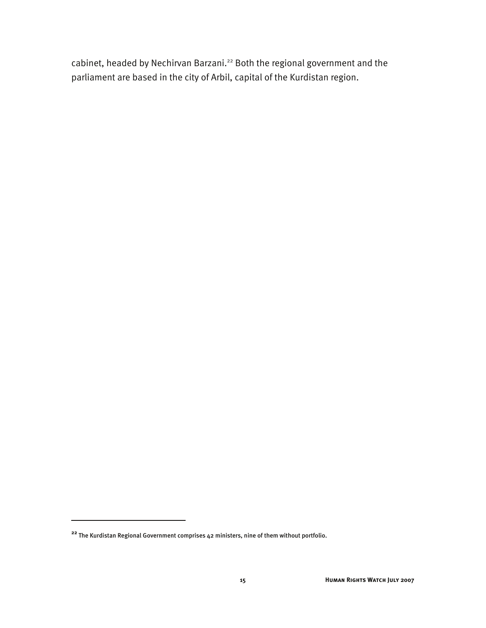cabinet, headed by Nechirvan Barzani.<sup>22</sup> Both the regional government and the parliament are based in the city of Arbil, capital of the Kurdistan region.

**<sup>22</sup>** The Kurdistan Regional Government comprises 42 ministers, nine of them without portfolio.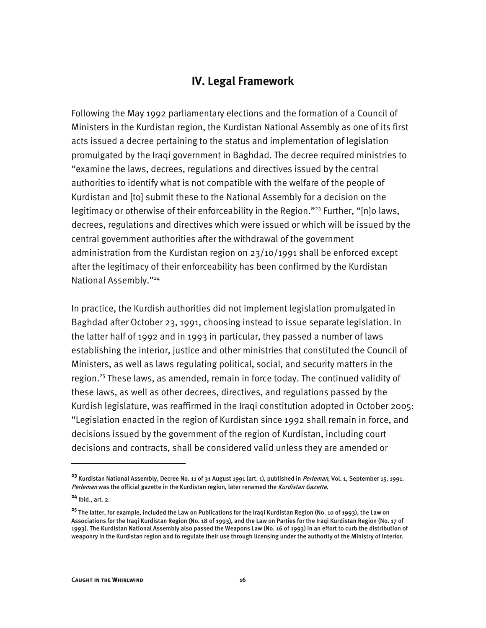#### **IV. Legal Framework**

Following the May 1992 parliamentary elections and the formation of a Council of Ministers in the Kurdistan region, the Kurdistan National Assembly as one of its first acts issued a decree pertaining to the status and implementation of legislation promulgated by the Iraqi government in Baghdad. The decree required ministries to "examine the laws, decrees, regulations and directives issued by the central authorities to identify what is not compatible with the welfare of the people of Kurdistan and [to] submit these to the National Assembly for a decision on the legitimacy or otherwise of their enforceability in the Region."<sup>23</sup> Further, "[n]o laws, decrees, regulations and directives which were issued or which will be issued by the central government authorities after the withdrawal of the government administration from the Kurdistan region on 23/10/1991 shall be enforced except after the legitimacy of their enforceability has been confirmed by the Kurdistan National Assembly."24

In practice, the Kurdish authorities did not implement legislation promulgated in Baghdad after October 23, 1991, choosing instead to issue separate legislation. In the latter half of 1992 and in 1993 in particular, they passed a number of laws establishing the interior, justice and other ministries that constituted the Council of Ministers, as well as laws regulating political, social, and security matters in the region.<sup>25</sup> These laws, as amended, remain in force today. The continued validity of these laws, as well as other decrees, directives, and regulations passed by the Kurdish legislature, was reaffirmed in the Iraqi constitution adopted in October 2005: "Legislation enacted in the region of Kurdistan since 1992 shall remain in force, and decisions issued by the government of the region of Kurdistan, including court decisions and contracts, shall be considered valid unless they are amended or

**<sup>23</sup>** Kurdistan National Assembly, Decree No. 11 of 31 August 1991 (art. 1), published in Perleman, Vol. 1, September 15, 1991. Perleman was the official gazette in the Kurdistan region, later renamed the Kurdistan Gazette.

**<sup>24</sup>** Ibid., art. 2.

**<sup>25</sup>** The latter, for example, included the Law on Publications for the Iraqi Kurdistan Region (No. 10 of 1993), the Law on Associations for the Iraqi Kurdistan Region (No. 18 of 1993), and the Law on Parties for the Iraqi Kurdistan Region (No. 17 of 1993). The Kurdistan National Assembly also passed the Weapons Law (No. 16 of 1993) in an effort to curb the distribution of weaponry in the Kurdistan region and to regulate their use through licensing under the authority of the Ministry of Interior.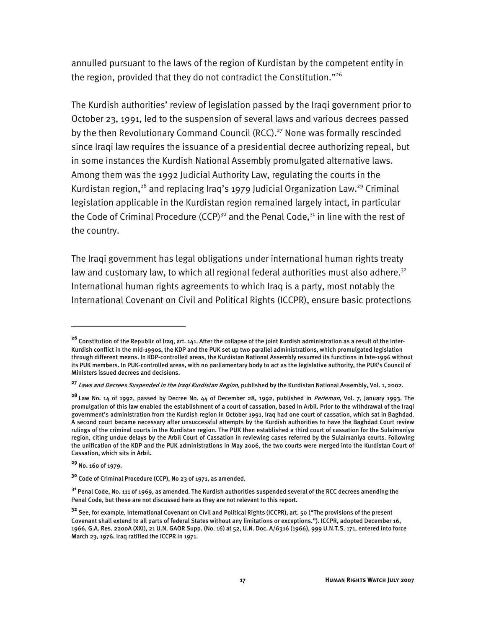annulled pursuant to the laws of the region of Kurdistan by the competent entity in the region, provided that they do not contradict the Constitution."<sup>26</sup>

The Kurdish authorities' review of legislation passed by the Iraqi government prior to October 23, 1991, led to the suspension of several laws and various decrees passed by the then Revolutionary Command Council (RCC).<sup>27</sup> None was formally rescinded since Iraqi law requires the issuance of a presidential decree authorizing repeal, but in some instances the Kurdish National Assembly promulgated alternative laws. Among them was the 1992 Judicial Authority Law, regulating the courts in the Kurdistan region,<sup>28</sup> and replacing Iraq's 1979 Judicial Organization Law.<sup>29</sup> Criminal legislation applicable in the Kurdistan region remained largely intact, in particular the Code of Criminal Procedure (CCP)<sup>30</sup> and the Penal Code,<sup>31</sup> in line with the rest of the country.

The Iraqi government has legal obligations under international human rights treaty law and customary law, to which all regional federal authorities must also adhere.<sup>32</sup> International human rights agreements to which Iraq is a party, most notably the International Covenant on Civil and Political Rights (ICCPR), ensure basic protections

**<sup>26</sup>** Constitution of the Republic of Iraq, art. 141. After the collapse of the joint Kurdish administration as a result of the inter-Kurdish conflict in the mid-1990s, the KDP and the PUK set up two parallel administrations, which promulgated legislation through different means. In KDP-controlled areas, the Kurdistan National Assembly resumed its functions in late-1996 without its PUK members. In PUK-controlled areas, with no parliamentary body to act as the legislative authority, the PUK's Council of Ministers issued decrees and decisions.

**<sup>27</sup>** Laws and Decrees Suspended in the Iraqi Kurdistan Region, published by the Kurdistan National Assembly, Vol. 1, 2002.

**<sup>28</sup>** Law No. 14 of 1992, passed by Decree No. 44 of December 28, 1992, published in Perleman, Vol. 7, January 1993. The promulgation of this law enabled the establishment of a court of cassation, based in Arbil. Prior to the withdrawal of the Iraqi government's administration from the Kurdish region in October 1991, Iraq had one court of cassation, which sat in Baghdad. A second court became necessary after unsuccessful attempts by the Kurdish authorities to have the Baghdad Court review rulings of the criminal courts in the Kurdistan region. The PUK then established a third court of cassation for the Sulaimaniya region, citing undue delays by the Arbil Court of Cassation in reviewing cases referred by the Sulaimaniya courts. Following the unification of the KDP and the PUK administrations in May 2006, the two courts were merged into the Kurdistan Court of Cassation, which sits in Arbil.

**<sup>29</sup>** No. 160 of 1979.

**<sup>30</sup>** Code of Criminal Procedure (CCP), No 23 of 1971, as amended.

**<sup>31</sup>** Penal Code, No. 111 of 1969, as amended. The Kurdish authorities suspended several of the RCC decrees amending the Penal Code, but these are not discussed here as they are not relevant to this report.

**<sup>32</sup>** See, for example, International Covenant on Civil and Political Rights (ICCPR), art. 50 ("The provisions of the present Covenant shall extend to all parts of federal States without any limitations or exceptions."). ICCPR, adopted December 16, 1966, G.A. Res. 2200A (XXI), 21 U.N. GAOR Supp. (No. 16) at 52, U.N. Doc. A/6316 (1966), 999 U.N.T.S. 171, entered into force March 23, 1976. Iraq ratified the ICCPR in 1971.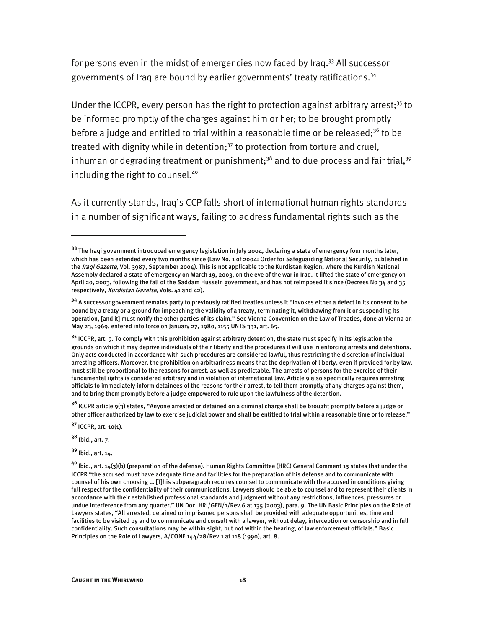for persons even in the midst of emergencies now faced by Iraq.<sup>33</sup> All successor governments of Iraq are bound by earlier governments' treaty ratifications.34

Under the ICCPR, every person has the right to protection against arbitrary arrest;<sup>35</sup> to be informed promptly of the charges against him or her; to be brought promptly before a judge and entitled to trial within a reasonable time or be released;<sup>36</sup> to be treated with dignity while in detention; $37$  to protection from torture and cruel, inhuman or degrading treatment or punishment;<sup>38</sup> and to due process and fair trial,<sup>39</sup> including the right to counsel.<sup>40</sup>

As it currently stands, Iraq's CCP falls short of international human rights standards in a number of significant ways, failing to address fundamental rights such as the

**<sup>37</sup>** ICCPR, art. 10(1).

**<sup>38</sup>** Ibid., art. 7.

I

**<sup>39</sup>** Ibid., art. 14.

**<sup>33</sup>** The Iraqi government introduced emergency legislation in July 2004, declaring a state of emergency four months later, which has been extended every two months since (Law No. 1 of 2004: Order for Safeguarding National Security, published in the Iraqi Gazette, Vol. 3987, September 2004). This is not applicable to the Kurdistan Region, where the Kurdish National Assembly declared a state of emergency on March 19, 2003, on the eve of the war in Iraq. It lifted the state of emergency on April 20, 2003, following the fall of the Saddam Hussein government, and has not reimposed it since (Decrees No 34 and 35 respectively, Kurdistan Gazette, Vols. 41 and 42).

**<sup>34</sup>** A successor government remains party to previously ratified treaties unless it "invokes either a defect in its consent to be bound by a treaty or a ground for impeaching the validity of a treaty, terminating it, withdrawing from it or suspending its operation, [and it] must notify the other parties of its claim." See Vienna Convention on the Law of Treaties, done at Vienna on May 23, 1969, entered into force on January 27, 1980, 1155 UNTS 331, art. 65.

**<sup>35</sup>** ICCPR, art. 9. To comply with this prohibition against arbitrary detention, the state must specify in its legislation the grounds on which it may deprive individuals of their liberty and the procedures it will use in enforcing arrests and detentions. Only acts conducted in accordance with such procedures are considered lawful, thus restricting the discretion of individual arresting officers. Moreover, the prohibition on arbitrariness means that the deprivation of liberty, even if provided for by law, must still be proportional to the reasons for arrest, as well as predictable. The arrests of persons for the exercise of their fundamental rights is considered arbitrary and in violation of international law. Article 9 also specifically requires arresting officials to immediately inform detainees of the reasons for their arrest, to tell them promptly of any charges against them, and to bring them promptly before a judge empowered to rule upon the lawfulness of the detention.

**<sup>36</sup>** ICCPR article 9(3) states, "Anyone arrested or detained on a criminal charge shall be brought promptly before a judge or other officer authorized by law to exercise judicial power and shall be entitled to trial within a reasonable time or to release."

**<sup>40</sup>** Ibid., art. 14(3)(b) (preparation of the defense). Human Rights Committee (HRC) General Comment 13 states that under the ICCPR "the accused must have adequate time and facilities for the preparation of his defense and to communicate with counsel of his own choosing … [T]his subparagraph requires counsel to communicate with the accused in conditions giving full respect for the confidentiality of their communications. Lawyers should be able to counsel and to represent their clients in accordance with their established professional standards and judgment without any restrictions, influences, pressures or undue interference from any quarter." UN Doc. HRI/GEN/1/Rev.6 at 135 (2003), para. 9. The UN Basic Principles on the Role of Lawyers states, "All arrested, detained or imprisoned persons shall be provided with adequate opportunities, time and facilities to be visited by and to communicate and consult with a lawyer, without delay, interception or censorship and in full confidentiality. Such consultations may be within sight, but not within the hearing, of law enforcement officials." Basic Principles on the Role of Lawyers, A/CONF.144/28/Rev.1 at 118 (1990), art. 8.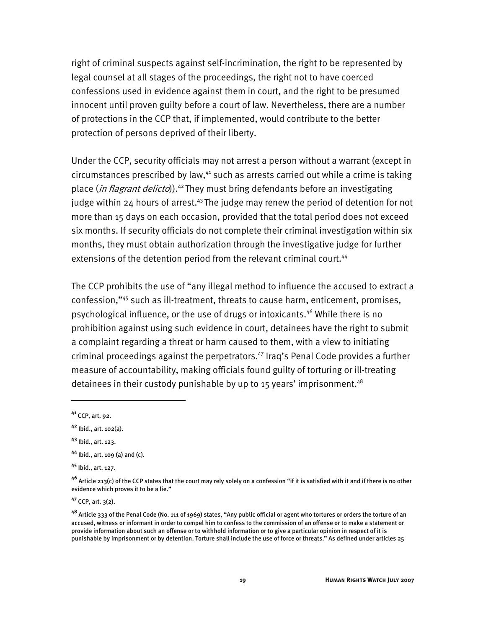right of criminal suspects against self-incrimination, the right to be represented by legal counsel at all stages of the proceedings, the right not to have coerced confessions used in evidence against them in court, and the right to be presumed innocent until proven guilty before a court of law. Nevertheless, there are a number of protections in the CCP that, if implemented, would contribute to the better protection of persons deprived of their liberty.

Under the CCP, security officials may not arrest a person without a warrant (except in  $circumstances prescribed by law<sup>41</sup> such as arrest carried out while a crime is taking$ place (*in flagrant delicto*)).<sup>42</sup> They must bring defendants before an investigating judge within 24 hours of arrest.<sup>43</sup> The judge may renew the period of detention for not more than 15 days on each occasion, provided that the total period does not exceed six months. If security officials do not complete their criminal investigation within six months, they must obtain authorization through the investigative judge for further extensions of the detention period from the relevant criminal court.<sup>44</sup>

The CCP prohibits the use of "any illegal method to influence the accused to extract a confession,"45 such as ill-treatment, threats to cause harm, enticement, promises, psychological influence, or the use of drugs or intoxicants.46 While there is no prohibition against using such evidence in court, detainees have the right to submit a complaint regarding a threat or harm caused to them, with a view to initiating criminal proceedings against the perpetrators.<sup>47</sup> Iraq's Penal Code provides a further measure of accountability, making officials found guilty of torturing or ill-treating detainees in their custody punishable by up to 15 years' imprisonment.<sup>48</sup>

I

**<sup>45</sup>** Ibid., art. 127.

**<sup>47</sup>** CCP, art. 3(2).

**<sup>41</sup>** CCP, art. 92.

**<sup>42</sup>** Ibid., art. 102(a).

**<sup>43</sup>** Ibid., art. 123.

**<sup>44</sup>** Ibid., art. 109 (a) and (c).

**<sup>46</sup>** Article 213(c) of the CCP states that the court may rely solely on a confession "if it is satisfied with it and if there is no other evidence which proves it to be a lie."

**<sup>48</sup>** Article 333 of the Penal Code (No. 111 of 1969) states, "Any public official or agent who tortures or orders the torture of an accused, witness or informant in order to compel him to confess to the commission of an offense or to make a statement or provide information about such an offense or to withhold information or to give a particular opinion in respect of it is punishable by imprisonment or by detention. Torture shall include the use of force or threats." As defined under articles 25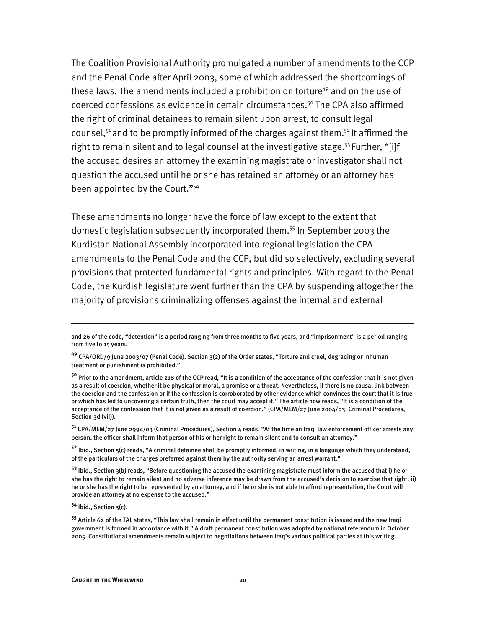The Coalition Provisional Authority promulgated a number of amendments to the CCP and the Penal Code after April 2003, some of which addressed the shortcomings of these laws. The amendments included a prohibition on torture<sup>49</sup> and on the use of coerced confessions as evidence in certain circumstances.50 The CPA also affirmed the right of criminal detainees to remain silent upon arrest, to consult legal counsel,<sup>51</sup> and to be promptly informed of the charges against them.<sup>52</sup> It affirmed the right to remain silent and to legal counsel at the investigative stage.<sup>53</sup> Further, "[i]f the accused desires an attorney the examining magistrate or investigator shall not question the accused until he or she has retained an attorney or an attorney has been appointed by the Court."54

These amendments no longer have the force of law except to the extent that domestic legislation subsequently incorporated them.55 In September 2003 the Kurdistan National Assembly incorporated into regional legislation the CPA amendments to the Penal Code and the CCP, but did so selectively, excluding several provisions that protected fundamental rights and principles. With regard to the Penal Code, the Kurdish legislature went further than the CPA by suspending altogether the majority of provisions criminalizing offenses against the internal and external

**<sup>51</sup>** CPA/MEM/27 June 2994/03 (Criminal Procedures), Section 4 reads, "At the time an Iraqi law enforcement officer arrests any person, the officer shall inform that person of his or her right to remain silent and to consult an attorney."

**<sup>52</sup>** Ibid., Section 5(c) reads, "A criminal detainee shall be promptly informed, in writing, in a language which they understand, of the particulars of the charges preferred against them by the authority serving an arrest warrant."

**<sup>53</sup>** Ibid., Section 3(b) reads, "Before questioning the accused the examining magistrate must inform the accused that i) he or she has the right to remain silent and no adverse inference may be drawn from the accused's decision to exercise that right; ii) he or she has the right to be represented by an attorney, and if he or she is not able to afford representation, the Court will provide an attorney at no expense to the accused."

**<sup>54</sup>** Ibid., Section 3(c).

I

**<sup>55</sup>** Article 62 of the TAL states, "This law shall remain in effect until the permanent constitution is issued and the new Iraqi government is formed in accordance with it." A draft permanent constitution was adopted by national referendum in October 2005. Constitutional amendments remain subject to negotiations between Iraq's various political parties at this writing.

and 26 of the code, "detention" is a period ranging from three months to five years, and "imprisonment" is a period ranging from five to 15 years.

**<sup>49</sup>** CPA/ORD/9 June 2003/07 (Penal Code). Section 3(2) of the Order states, "Torture and cruel, degrading or inhuman treatment or punishment is prohibited."

**<sup>50</sup>** Prior to the amendment, article 218 of the CCP read, "It is a condition of the acceptance of the confession that it is not given as a result of coercion, whether it be physical or moral, a promise or a threat. Nevertheless, if there is no causal link between the coercion and the confession or if the confession is corroborated by other evidence which convinces the court that it is true or which has led to uncovering a certain truth, then the court may accept it." The article now reads, "It is a condition of the acceptance of the confession that it is not given as a result of coercion." (CPA/MEM/27 June 2004/03: Criminal Procedures, Section 3d (vii)).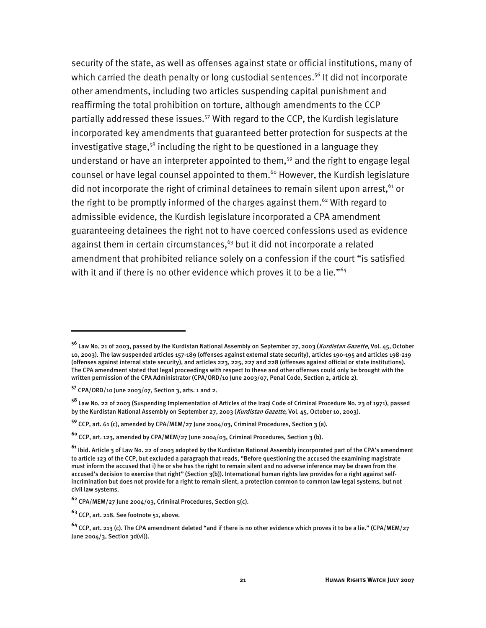security of the state, as well as offenses against state or official institutions, many of which carried the death penalty or long custodial sentences.<sup>56</sup> It did not incorporate other amendments, including two articles suspending capital punishment and reaffirming the total prohibition on torture, although amendments to the CCP partially addressed these issues.<sup>57</sup> With regard to the CCP, the Kurdish legislature incorporated key amendments that guaranteed better protection for suspects at the investigative stage,<sup>58</sup> including the right to be questioned in a language they understand or have an interpreter appointed to them,<sup>59</sup> and the right to engage legal counsel or have legal counsel appointed to them.<sup>60</sup> However, the Kurdish legislature did not incorporate the right of criminal detainees to remain silent upon arrest.<sup>61</sup> or the right to be promptly informed of the charges against them.<sup>62</sup> With regard to admissible evidence, the Kurdish legislature incorporated a CPA amendment guaranteeing detainees the right not to have coerced confessions used as evidence against them in certain circumstances,<sup>63</sup> but it did not incorporate a related amendment that prohibited reliance solely on a confession if the court "is satisfied with it and if there is no other evidence which proves it to be a lie."<sup>64</sup>

**<sup>56</sup>** Law No. 21 of 2003, passed by the Kurdistan National Assembly on September 27, 2003 (Kurdistan Gazette, Vol. 45, October 10, 2003). The law suspended articles 157-189 (offenses against external state security), articles 190-195 and articles 198-219 (offenses against internal state security), and articles 223, 225, 227 and 228 (offenses against official or state institutions). The CPA amendment stated that legal proceedings with respect to these and other offenses could only be brought with the written permission of the CPA Administrator (CPA/ORD/10 June 2003/07, Penal Code, Section 2, article 2).

**<sup>57</sup>** CPA/ORD/10 June 2003/07, Section 3, arts. 1 and 2.

**<sup>58</sup>** Law No. 22 of 2003 (Suspending Implementation of Articles of the Iraqi Code of Criminal Procedure No. 23 of 1971), passed by the Kurdistan National Assembly on September 27, 2003 (Kurdistan Gazette, Vol. 45, October 10, 2003).

**<sup>59</sup>** CCP, art. 61 (c), amended by CPA/MEM/27 June 2004/03, Criminal Procedures, Section 3 (a).

**<sup>60</sup>** CCP, art. 123, amended by CPA/MEM/27 June 2004/03, Criminal Procedures, Section 3 (b).

**<sup>61</sup>** Ibid. Article 3 of Law No. 22 of 2003 adopted by the Kurdistan National Assembly incorporated part of the CPA's amendment to article 123 of the CCP, but excluded a paragraph that reads, "Before questioning the accused the examining magistrate must inform the accused that i) he or she has the right to remain silent and no adverse inference may be drawn from the accused's decision to exercise that right" (Section 3(b)). International human rights law provides for a right against selfincrimination but does not provide for a right to remain silent, a protection common to common law legal systems, but not civil law systems.

**<sup>62</sup>** CPA/MEM/27 June 2004/03, Criminal Procedures, Section 5(c).

**<sup>63</sup>** CCP, art. 218. See footnote 51, above.

**<sup>64</sup>** CCP, art. 213 (c). The CPA amendment deleted "and if there is no other evidence which proves it to be a lie." (CPA/MEM/27 June 2004/3, Section 3d(vi)).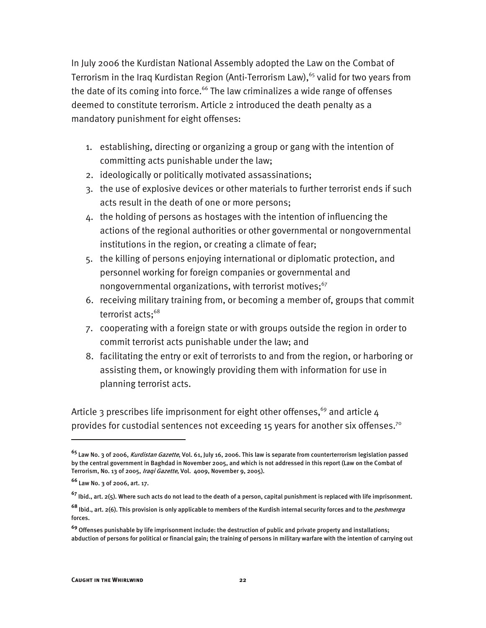In July 2006 the Kurdistan National Assembly adopted the Law on the Combat of Terrorism in the Iraq Kurdistan Region (Anti-Terrorism Law),  $65$  valid for two years from the date of its coming into force.<sup>66</sup> The law criminalizes a wide range of offenses deemed to constitute terrorism. Article 2 introduced the death penalty as a mandatory punishment for eight offenses:

- 1. establishing, directing or organizing a group or gang with the intention of committing acts punishable under the law;
- 2. ideologically or politically motivated assassinations;
- 3. the use of explosive devices or other materials to further terrorist ends if such acts result in the death of one or more persons;
- 4. the holding of persons as hostages with the intention of influencing the actions of the regional authorities or other governmental or nongovernmental institutions in the region, or creating a climate of fear;
- 5. the killing of persons enjoying international or diplomatic protection, and personnel working for foreign companies or governmental and nongovernmental organizations, with terrorist motives; $67$
- 6. receiving military training from, or becoming a member of, groups that commit terrorist acts;<sup>68</sup>
- 7. cooperating with a foreign state or with groups outside the region in order to commit terrorist acts punishable under the law; and
- 8. facilitating the entry or exit of terrorists to and from the region, or harboring or assisting them, or knowingly providing them with information for use in planning terrorist acts.

Article 3 prescribes life imprisonment for eight other offenses,<sup>69</sup> and article 4 provides for custodial sentences not exceeding 15 years for another six offenses.<sup>70</sup>

**<sup>65</sup>** Law No. 3 of 2006, Kurdistan Gazette, Vol. 61, July 16, 2006. This law is separate from counterterrorism legislation passed by the central government in Baghdad in November 2005, and which is not addressed in this report (Law on the Combat of Terrorism, No. 13 of 2005, Iraqi Gazette, Vol. 4009, November 9, 2005).

**<sup>66</sup>** Law No. 3 of 2006, art. 17.

**<sup>67</sup>** Ibid., art. 2(5). Where such acts do not lead to the death of a person, capital punishment is replaced with life imprisonment.

**<sup>68</sup>** Ibid., art. 2(6). This provision is only applicable to members of the Kurdish internal security forces and to the peshmerga forces.

**<sup>69</sup>** Offenses punishable by life imprisonment include: the destruction of public and private property and installations; abduction of persons for political or financial gain; the training of persons in military warfare with the intention of carrying out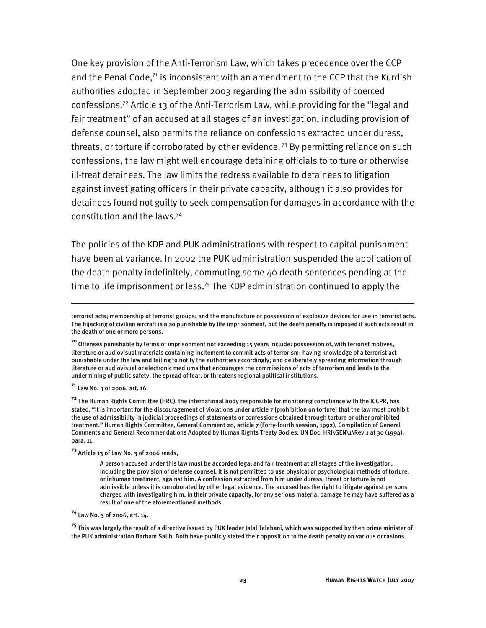One key provision of the Anti-Terrorism Law, which takes precedence over the CCP and the Penal Code, $71$  is inconsistent with an amendment to the CCP that the Kurdish authorities adopted in September 2003 regarding the admissibility of coerced confessions.72 Article 13 of the Anti-Terrorism Law, while providing for the "legal and fair treatment" of an accused at all stages of an investigation, including provision of defense counsel, also permits the reliance on confessions extracted under duress, threats, or torture if corroborated by other evidence.<sup>73</sup> By permitting reliance on such confessions, the law might well encourage detaining officials to torture or otherwise ill-treat detainees. The law limits the redress available to detainees to litigation against investigating officers in their private capacity, although it also provides for detainees found not guilty to seek compensation for damages in accordance with the constitution and the laws.74

The policies of the KDP and PUK administrations with respect to capital punishment have been at variance. In 2002 the PUK administration suspended the application of the death penalty indefinitely, commuting some 40 death sentences pending at the time to life imprisonment or less.<sup>75</sup> The KDP administration continued to apply the

**<sup>71</sup>** Law No. 3 of 2006, art. 16.

I

**<sup>72</sup>** The Human Rights Committee (HRC), the international body responsible for monitoring compliance with the ICCPR, has stated, "It is important for the discouragement of violations under article 7 [prohibition on torture] that the law must prohibit the use of admissibility in judicial proceedings of statements or confessions obtained through torture or other prohibited treatment." Human Rights Committee, General Comment 20, article 7 (Forty-fourth session, 1992), Compilation of General Comments and General Recommendations Adopted by Human Rights Treaty Bodies, UN Doc. HRI\GEN\1\Rev.1 at 30 (1994), para. 11.

**<sup>73</sup>** Article 13 of Law No. 3 of 2006 reads,

**<sup>74</sup>** Law No. 3 of 2006, art. 14.

**<sup>75</sup>** This was largely the result of a directive issued by PUK leader Jalal Talabani, which was supported by then prime minister of the PUK administration Barham Salih. Both have publicly stated their opposition to the death penalty on various occasions.

terrorist acts; membership of terrorist groups; and the manufacture or possession of explosive devices for use in terrorist acts. The hijacking of civilian aircraft is also punishable by life imprisonment, but the death penalty is imposed if such acts result in the death of one or more persons.

**<sup>70</sup>** Offenses punishable by terms of imprisonment not exceeding 15 years include: possession of, with terrorist motives, literature or audiovisual materials containing incitement to commit acts of terrorism; having knowledge of a terrorist act punishable under the law and failing to notify the authorities accordingly; and deliberately spreading information through literature or audiovisual or electronic mediums that encourages the commissions of acts of terrorism and leads to the undermining of public safety, the spread of fear, or threatens regional political institutions.

A person accused under this law must be accorded legal and fair treatment at all stages of the investigation, including the provision of defense counsel. It is not permitted to use physical or psychological methods of torture, or inhuman treatment, against him. A confession extracted from him under duress, threat or torture is not admissible unless it is corroborated by other legal evidence. The accused has the right to litigate against persons charged with investigating him, in their private capacity, for any serious material damage he may have suffered as a result of one of the aforementioned methods.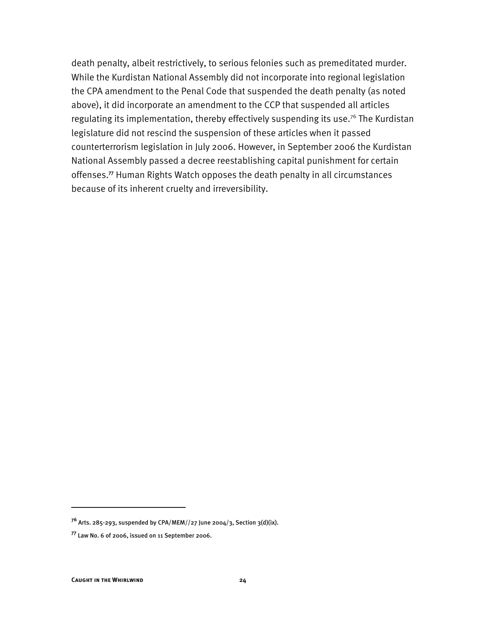death penalty, albeit restrictively, to serious felonies such as premeditated murder. While the Kurdistan National Assembly did not incorporate into regional legislation the CPA amendment to the Penal Code that suspended the death penalty (as noted above), it did incorporate an amendment to the CCP that suspended all articles regulating its implementation, thereby effectively suspending its use.<sup>76</sup> The Kurdistan legislature did not rescind the suspension of these articles when it passed counterterrorism legislation in July 2006. However, in September 2006 the Kurdistan National Assembly passed a decree reestablishing capital punishment for certain offenses.**<sup>77</sup>** Human Rights Watch opposes the death penalty in all circumstances because of its inherent cruelty and irreversibility.

**<sup>76</sup>** Arts. 285-293, suspended by CPA/MEM//27 June 2004/3, Section 3(d)(ix).

**<sup>77</sup>** Law No. 6 of 2006, issued on 11 September 2006.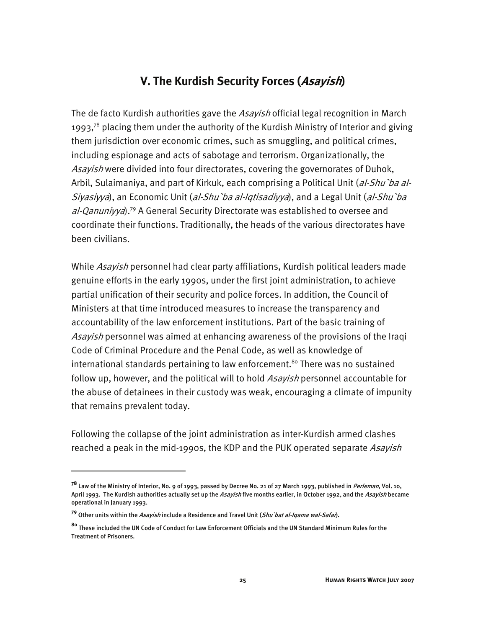#### **V. The Kurdish Security Forces (Asayish)**

The de facto Kurdish authorities gave the Asayish official legal recognition in March 1993,<sup>78</sup> placing them under the authority of the Kurdish Ministry of Interior and giving them jurisdiction over economic crimes, such as smuggling, and political crimes, including espionage and acts of sabotage and terrorism. Organizationally, the Asayish were divided into four directorates, covering the governorates of Duhok, Arbil, Sulaimaniya, and part of Kirkuk, each comprising a Political Unit (al-Shu'ba al-Siyasiyya), an Economic Unit (al-Shu ba al-Iqtisadiyya), and a Legal Unit (al-Shu ba  $al$ -Qanuniyya).<sup>79</sup> A General Security Directorate was established to oversee and coordinate their functions. Traditionally, the heads of the various directorates have been civilians.

While Asayish personnel had clear party affiliations, Kurdish political leaders made genuine efforts in the early 1990s, under the first joint administration, to achieve partial unification of their security and police forces. In addition, the Council of Ministers at that time introduced measures to increase the transparency and accountability of the law enforcement institutions. Part of the basic training of Asayish personnel was aimed at enhancing awareness of the provisions of the Iraqi Code of Criminal Procedure and the Penal Code, as well as knowledge of international standards pertaining to law enforcement.<sup>80</sup> There was no sustained follow up, however, and the political will to hold Asayish personnel accountable for the abuse of detainees in their custody was weak, encouraging a climate of impunity that remains prevalent today.

Following the collapse of the joint administration as inter-Kurdish armed clashes reached a peak in the mid-1990s, the KDP and the PUK operated separate Asayish

**<sup>78</sup>** Law of the Ministry of Interior, No. 9 of 1993, passed by Decree No. 21 of 27 March 1993, published in Perleman, Vol. 10, April 1993. The Kurdish authorities actually set up the *Asayish* five months earlier, in October 1992, and the *Asayish* became operational in January 1993.

**<sup>79</sup>** Other units within the Asayish include a Residence and Travel Unit (Shu`bat al-Iqama wal-Safar).

**<sup>80</sup>** These included the UN Code of Conduct for Law Enforcement Officials and the UN Standard Minimum Rules for the Treatment of Prisoners.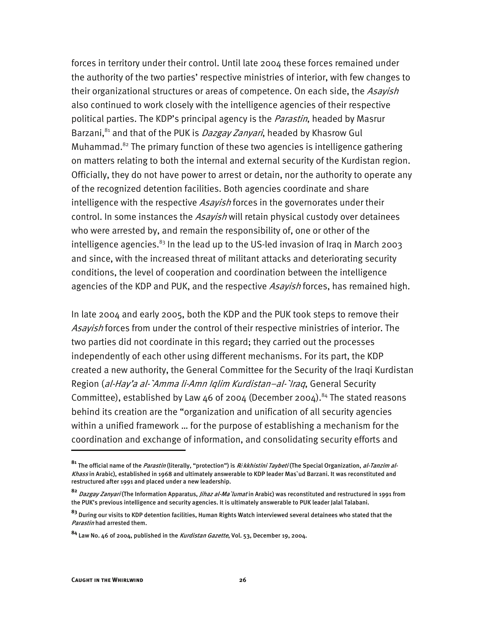forces in territory under their control. Until late 2004 these forces remained under the authority of the two parties' respective ministries of interior, with few changes to their organizational structures or areas of competence. On each side, the Asayish also continued to work closely with the intelligence agencies of their respective political parties. The KDP's principal agency is the *Parastin*, headed by Masrur Barzani,<sup>81</sup> and that of the PUK is *Dazgay Zanyari*, headed by Khasrow Gul Muhammad. $82$  The primary function of these two agencies is intelligence gathering on matters relating to both the internal and external security of the Kurdistan region. Officially, they do not have power to arrest or detain, nor the authority to operate any of the recognized detention facilities. Both agencies coordinate and share intelligence with the respective *Asayish* forces in the governorates under their control. In some instances the *Asayish* will retain physical custody over detainees who were arrested by, and remain the responsibility of, one or other of the intelligence agencies. $83$  In the lead up to the US-led invasion of Iraq in March 2003 and since, with the increased threat of militant attacks and deteriorating security conditions, the level of cooperation and coordination between the intelligence agencies of the KDP and PUK, and the respective *Asayish* forces, has remained high.

In late 2004 and early 2005, both the KDP and the PUK took steps to remove their Asayish forces from under the control of their respective ministries of interior. The two parties did not coordinate in this regard; they carried out the processes independently of each other using different mechanisms. For its part, the KDP created a new authority, the General Committee for the Security of the Iraqi Kurdistan Region (al-Hay'a al-`Amma li-Amn Iglim Kurdistan–al-`Iraq, General Security Committee), established by Law 46 of 2004 (December 2004).<sup>84</sup> The stated reasons behind its creation are the "organization and unification of all security agencies within a unified framework … for the purpose of establishing a mechanism for the coordination and exchange of information, and consolidating security efforts and

**<sup>81</sup>** The official name of the Parastin (literally, "protection") is R*ê*kkhistini Taybeti (The Special Organization, al-Tanzim al-Khass in Arabic), established in 1968 and ultimately answerable to KDP leader Mas`ud Barzani. It was reconstituted and restructured after 1991 and placed under a new leadership.

**<sup>82</sup>** Dazgay Zanyari (The Information Apparatus, Jihaz al-Ma`lumat in Arabic) was reconstituted and restructured in 1991 from the PUK's previous intelligence and security agencies. It is ultimately answerable to PUK leader Jalal Talabani.

**<sup>83</sup>** During our visits to KDP detention facilities, Human Rights Watch interviewed several detainees who stated that the Parastin had arrested them.

**<sup>84</sup>** Law No. 46 of 2004, published in the Kurdistan Gazette, Vol. 53, December 19, 2004.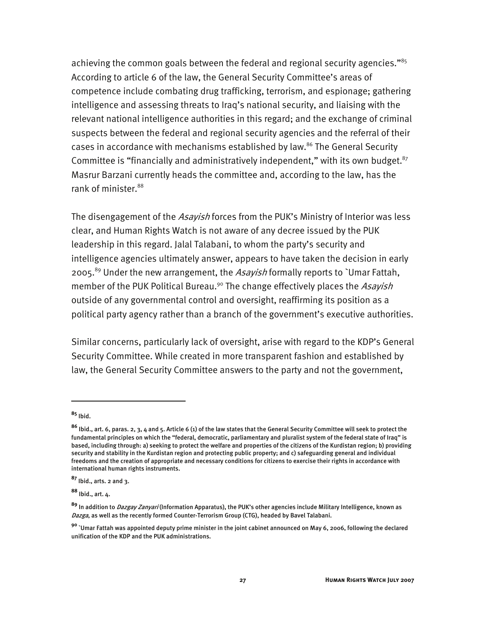achieving the common goals between the federal and regional security agencies."<sup>85</sup> According to article 6 of the law, the General Security Committee's areas of competence include combating drug trafficking, terrorism, and espionage; gathering intelligence and assessing threats to Iraq's national security, and liaising with the relevant national intelligence authorities in this regard; and the exchange of criminal suspects between the federal and regional security agencies and the referral of their cases in accordance with mechanisms established by law.<sup>86</sup> The General Security Committee is "financially and administratively independent," with its own budget. $87$ Masrur Barzani currently heads the committee and, according to the law, has the rank of minister.<sup>88</sup>

The disengagement of the *Asayish* forces from the PUK's Ministry of Interior was less clear, and Human Rights Watch is not aware of any decree issued by the PUK leadership in this regard. Jalal Talabani, to whom the party's security and intelligence agencies ultimately answer, appears to have taken the decision in early 2005.<sup>89</sup> Under the new arrangement, the *Asayish* formally reports to `Umar Fattah, member of the PUK Political Bureau.<sup>90</sup> The change effectively places the Asayish outside of any governmental control and oversight, reaffirming its position as a political party agency rather than a branch of the government's executive authorities.

Similar concerns, particularly lack of oversight, arise with regard to the KDP's General Security Committee. While created in more transparent fashion and established by law, the General Security Committee answers to the party and not the government,

j

**<sup>88</sup>** Ibid., art. 4.

**<sup>85</sup>** Ibid.

**<sup>86</sup>** Ibid., art. 6, paras. 2, 3, 4 and 5. Article 6 (1) of the law states that the General Security Committee will seek to protect the fundamental principles on which the "federal, democratic, parliamentary and pluralist system of the federal state of Iraq" is based, including through: a) seeking to protect the welfare and properties of the citizens of the Kurdistan region; b) providing security and stability in the Kurdistan region and protecting public property; and c) safeguarding general and individual freedoms and the creation of appropriate and necessary conditions for citizens to exercise their rights in accordance with international human rights instruments.

**<sup>87</sup>** Ibid., arts. 2 and 3.

**<sup>89</sup>** In addition to Dazgay Zanyari (Information Apparatus), the PUK's other agencies include Military Intelligence, known as Dazga, as well as the recently formed Counter-Terrorism Group (CTG), headed by Bavel Talabani.

**<sup>90</sup>** `Umar Fattah was appointed deputy prime minister in the joint cabinet announced on May 6, 2006, following the declared unification of the KDP and the PUK administrations.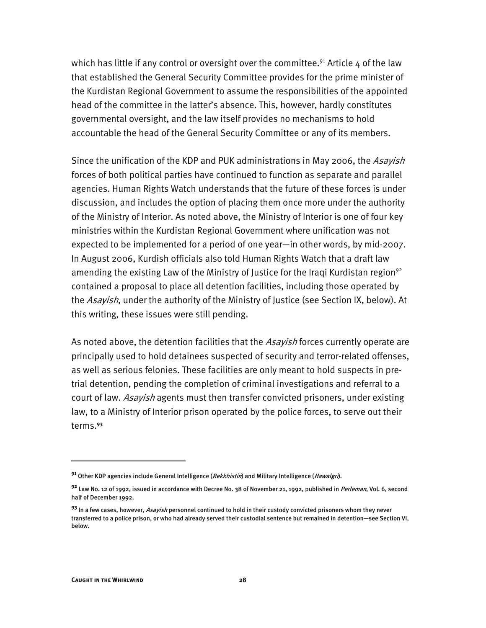which has little if any control or oversight over the committee.<sup>91</sup> Article 4 of the law that established the General Security Committee provides for the prime minister of the Kurdistan Regional Government to assume the responsibilities of the appointed head of the committee in the latter's absence. This, however, hardly constitutes governmental oversight, and the law itself provides no mechanisms to hold accountable the head of the General Security Committee or any of its members.

Since the unification of the KDP and PUK administrations in May 2006, the Asayish forces of both political parties have continued to function as separate and parallel agencies. Human Rights Watch understands that the future of these forces is under discussion, and includes the option of placing them once more under the authority of the Ministry of Interior. As noted above, the Ministry of Interior is one of four key ministries within the Kurdistan Regional Government where unification was not expected to be implemented for a period of one year—in other words, by mid-2007. In August 2006, Kurdish officials also told Human Rights Watch that a draft law amending the existing Law of the Ministry of Justice for the Iraqi Kurdistan region<sup>92</sup> contained a proposal to place all detention facilities, including those operated by the Asayish, under the authority of the Ministry of Justice (see Section IX, below). At this writing, these issues were still pending.

As noted above, the detention facilities that the *Asayish* forces currently operate are principally used to hold detainees suspected of security and terror-related offenses, as well as serious felonies. These facilities are only meant to hold suspects in pretrial detention, pending the completion of criminal investigations and referral to a court of law. Asavish agents must then transfer convicted prisoners, under existing law, to a Ministry of Interior prison operated by the police forces, to serve out their terms.**<sup>93</sup>**

**<sup>91</sup>** Other KDP agencies include General Intelligence (Rekkhistin) and Military Intelligence (Hawalgri).

**<sup>92</sup>** Law No. 12 of 1992, issued in accordance with Decree No. 38 of November 21, 1992, published in Perleman, Vol. 6, second half of December 1992.

**<sup>93</sup>** In a few cases, however, Asayish personnel continued to hold in their custody convicted prisoners whom they never transferred to a police prison, or who had already served their custodial sentence but remained in detention—see Section VI, below.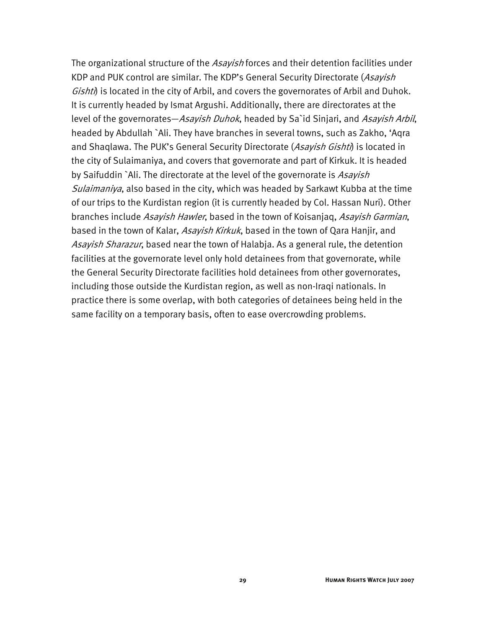The organizational structure of the Asayish forces and their detention facilities under KDP and PUK control are similar. The KDP's General Security Directorate (Asayish Gishti) is located in the city of Arbil, and covers the governorates of Arbil and Duhok. It is currently headed by Ismat Argushi. Additionally, there are directorates at the level of the governorates—*Asayish Duhok*, headed by Sa`id Sinjari, and *Asayish Arbil*, headed by Abdullah `Ali. They have branches in several towns, such as Zakho, 'Aqra and Shaqlawa. The PUK's General Security Directorate (Asayish Gishti) is located in the city of Sulaimaniya, and covers that governorate and part of Kirkuk. It is headed by Saifuddin `Ali. The directorate at the level of the governorate is Asavish Sulaimaniya, also based in the city, which was headed by Sarkawt Kubba at the time of our trips to the Kurdistan region (it is currently headed by Col. Hassan Nuri). Other branches include *Asayish Hawler*, based in the town of Koisanjaq, *Asayish Garmian*, based in the town of Kalar, Asayish Kirkuk, based in the town of Qara Hanjir, and Asayish Sharazur, based near the town of Halabja. As a general rule, the detention facilities at the governorate level only hold detainees from that governorate, while the General Security Directorate facilities hold detainees from other governorates, including those outside the Kurdistan region, as well as non-Iraqi nationals. In practice there is some overlap, with both categories of detainees being held in the same facility on a temporary basis, often to ease overcrowding problems.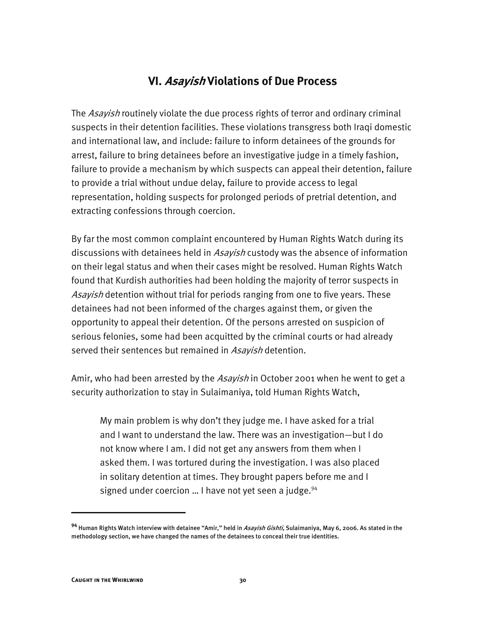#### **VI. Asayish Violations of Due Process**

The Asayish routinely violate the due process rights of terror and ordinary criminal suspects in their detention facilities. These violations transgress both Iraqi domestic and international law, and include: failure to inform detainees of the grounds for arrest, failure to bring detainees before an investigative judge in a timely fashion, failure to provide a mechanism by which suspects can appeal their detention, failure to provide a trial without undue delay, failure to provide access to legal representation, holding suspects for prolonged periods of pretrial detention, and extracting confessions through coercion.

By far the most common complaint encountered by Human Rights Watch during its discussions with detainees held in Asayish custody was the absence of information on their legal status and when their cases might be resolved. Human Rights Watch found that Kurdish authorities had been holding the majority of terror suspects in Asayish detention without trial for periods ranging from one to five years. These detainees had not been informed of the charges against them, or given the opportunity to appeal their detention. Of the persons arrested on suspicion of serious felonies, some had been acquitted by the criminal courts or had already served their sentences but remained in Asayish detention.

Amir, who had been arrested by the *Asayish* in October 2001 when he went to get a security authorization to stay in Sulaimaniya, told Human Rights Watch,

My main problem is why don't they judge me. I have asked for a trial and I want to understand the law. There was an investigation—but I do not know where I am. I did not get any answers from them when I asked them. I was tortured during the investigation. I was also placed in solitary detention at times. They brought papers before me and I signed under coercion ... I have not yet seen a judge. $94$ 

**<sup>94</sup>** Human Rights Watch interview with detainee "Amir," held in Asayish Gishti, Sulaimaniya, May 6, 2006. As stated in the methodology section, we have changed the names of the detainees to conceal their true identities.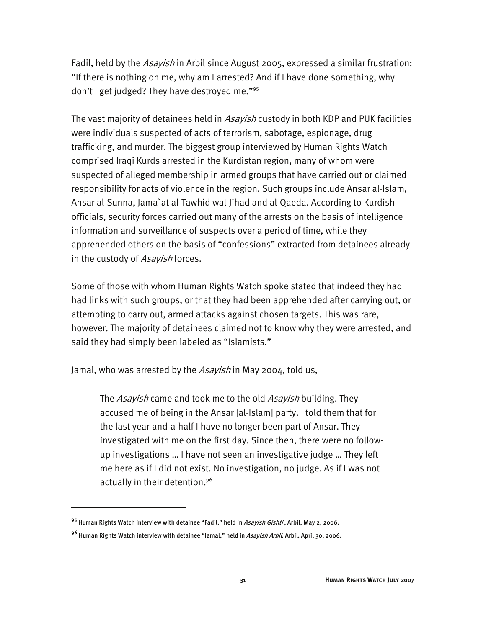Fadil, held by the *Asayish* in Arbil since August 2005, expressed a similar frustration: "If there is nothing on me, why am I arrested? And if I have done something, why don't I get judged? They have destroyed me."95

The vast majority of detainees held in *Asayish* custody in both KDP and PUK facilities were individuals suspected of acts of terrorism, sabotage, espionage, drug trafficking, and murder. The biggest group interviewed by Human Rights Watch comprised Iraqi Kurds arrested in the Kurdistan region, many of whom were suspected of alleged membership in armed groups that have carried out or claimed responsibility for acts of violence in the region. Such groups include Ansar al-Islam, Ansar al-Sunna, Jama`at al-Tawhid wal-Jihad and al-Qaeda. According to Kurdish officials, security forces carried out many of the arrests on the basis of intelligence information and surveillance of suspects over a period of time, while they apprehended others on the basis of "confessions" extracted from detainees already in the custody of Asayish forces.

Some of those with whom Human Rights Watch spoke stated that indeed they had had links with such groups, or that they had been apprehended after carrying out, or attempting to carry out, armed attacks against chosen targets. This was rare, however. The majority of detainees claimed not to know why they were arrested, and said they had simply been labeled as "Islamists."

Jamal, who was arrested by the Asayish in May 2004, told us,

The Asayish came and took me to the old Asayish building. They accused me of being in the Ansar [al-Islam] party. I told them that for the last year-and-a-half I have no longer been part of Ansar. They investigated with me on the first day. Since then, there were no followup investigations … I have not seen an investigative judge … They left me here as if I did not exist. No investigation, no judge. As if I was not actually in their detention.96

**<sup>95</sup>** Human Rights Watch interview with detainee "Fadil," held in Asayish Gishti , Arbil, May 2, 2006.

**<sup>96</sup>** Human Rights Watch interview with detainee "Jamal," held in Asayish Arbil, Arbil, April 30, 2006.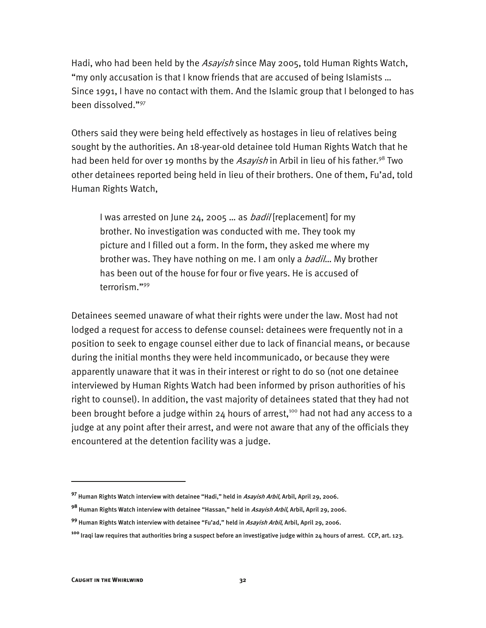Hadi, who had been held by the Asayish since May 2005, told Human Rights Watch, "my only accusation is that I know friends that are accused of being Islamists … Since 1991, I have no contact with them. And the Islamic group that I belonged to has been dissolved."97

Others said they were being held effectively as hostages in lieu of relatives being sought by the authorities. An 18-year-old detainee told Human Rights Watch that he had been held for over 19 months by the Asayish in Arbil in lieu of his father.<sup>98</sup> Two other detainees reported being held in lieu of their brothers. One of them, Fu'ad, told Human Rights Watch,

I was arrested on June 24, 2005 ... as *badil* [replacement] for my brother. No investigation was conducted with me. They took my picture and I filled out a form. In the form, they asked me where my brother was. They have nothing on me. I am only a *badil*... My brother has been out of the house for four or five years. He is accused of terrorism."99

Detainees seemed unaware of what their rights were under the law. Most had not lodged a request for access to defense counsel: detainees were frequently not in a position to seek to engage counsel either due to lack of financial means, or because during the initial months they were held incommunicado, or because they were apparently unaware that it was in their interest or right to do so (not one detainee interviewed by Human Rights Watch had been informed by prison authorities of his right to counsel). In addition, the vast majority of detainees stated that they had not been brought before a judge within  $24$  hours of arrest,<sup>100</sup> had not had any access to a judge at any point after their arrest, and were not aware that any of the officials they encountered at the detention facility was a judge.

j

**<sup>97</sup>** Human Rights Watch interview with detainee "Hadi," held in Asayish Arbil, Arbil, April 29, 2006.

**<sup>98</sup>** Human Rights Watch interview with detainee "Hassan," held in Asayish Arbil, Arbil, April 29, 2006.

**<sup>99</sup>** Human Rights Watch interview with detainee "Fu'ad," held in Asayish Arbil, Arbil, April 29, 2006.

**<sup>100</sup>** Iraqi law requires that authorities bring a suspect before an investigative judge within 24 hours of arrest. CCP, art. 123.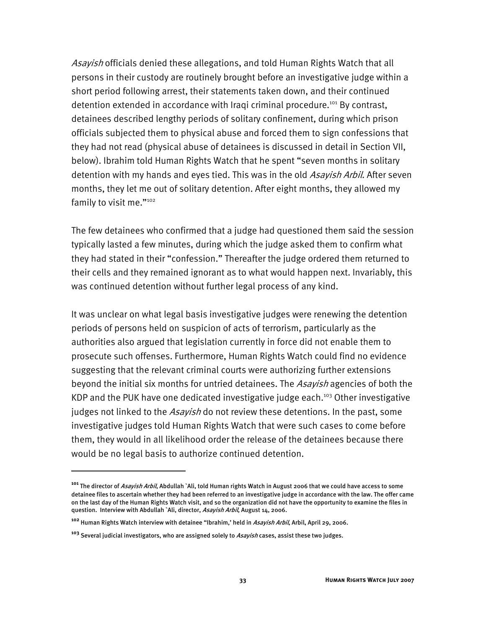Asayish officials denied these allegations, and told Human Rights Watch that all persons in their custody are routinely brought before an investigative judge within a short period following arrest, their statements taken down, and their continued detention extended in accordance with Iraqi criminal procedure.<sup>101</sup> By contrast, detainees described lengthy periods of solitary confinement, during which prison officials subjected them to physical abuse and forced them to sign confessions that they had not read (physical abuse of detainees is discussed in detail in Section VII, below). Ibrahim told Human Rights Watch that he spent "seven months in solitary detention with my hands and eyes tied. This was in the old Asavish Arbil. After seven months, they let me out of solitary detention. After eight months, they allowed my family to visit me."102

The few detainees who confirmed that a judge had questioned them said the session typically lasted a few minutes, during which the judge asked them to confirm what they had stated in their "confession." Thereafter the judge ordered them returned to their cells and they remained ignorant as to what would happen next. Invariably, this was continued detention without further legal process of any kind.

It was unclear on what legal basis investigative judges were renewing the detention periods of persons held on suspicion of acts of terrorism, particularly as the authorities also argued that legislation currently in force did not enable them to prosecute such offenses. Furthermore, Human Rights Watch could find no evidence suggesting that the relevant criminal courts were authorizing further extensions beyond the initial six months for untried detainees. The Asayish agencies of both the KDP and the PUK have one dedicated investigative judge each.<sup>103</sup> Other investigative judges not linked to the *Asayish* do not review these detentions. In the past, some investigative judges told Human Rights Watch that were such cases to come before them, they would in all likelihood order the release of the detainees because there would be no legal basis to authorize continued detention.

**<sup>101</sup>** The director of Asayish Arbil, Abdullah `Ali, told Human rights Watch in August 2006 that we could have access to some detainee files to ascertain whether they had been referred to an investigative judge in accordance with the law. The offer came on the last day of the Human Rights Watch visit, and so the organization did not have the opportunity to examine the files in question. Interview with Abdullah `Ali, director, Asayish Arbil, August 14, 2006.

**<sup>102</sup>** Human Rights Watch interview with detainee "Ibrahim,' held in Asayish Arbil, Arbil, April 29, 2006.

**<sup>103</sup>** Several judicial investigators, who are assigned solely to Asayish cases, assist these two judges.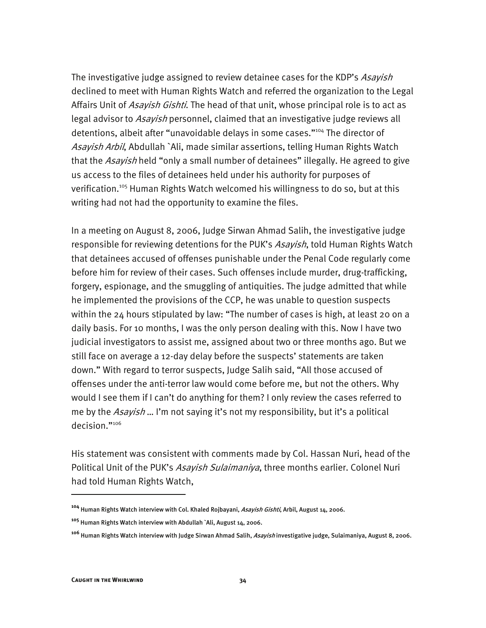The investigative judge assigned to review detainee cases for the KDP's Asayish declined to meet with Human Rights Watch and referred the organization to the Legal Affairs Unit of *Asayish Gishti*. The head of that unit, whose principal role is to act as legal advisor to *Asayish* personnel, claimed that an investigative judge reviews all detentions, albeit after "unavoidable delays in some cases."<sup>104</sup> The director of Asayish Arbil, Abdullah `Ali, made similar assertions, telling Human Rights Watch that the Asayish held "only a small number of detainees" illegally. He agreed to give us access to the files of detainees held under his authority for purposes of verification.105 Human Rights Watch welcomed his willingness to do so, but at this writing had not had the opportunity to examine the files.

In a meeting on August 8, 2006, Judge Sirwan Ahmad Salih, the investigative judge responsible for reviewing detentions for the PUK's Asayish, told Human Rights Watch that detainees accused of offenses punishable under the Penal Code regularly come before him for review of their cases. Such offenses include murder, drug-trafficking, forgery, espionage, and the smuggling of antiquities. The judge admitted that while he implemented the provisions of the CCP, he was unable to question suspects within the 24 hours stipulated by law: "The number of cases is high, at least 20 on a daily basis. For 10 months, I was the only person dealing with this. Now I have two judicial investigators to assist me, assigned about two or three months ago. But we still face on average a 12-day delay before the suspects' statements are taken down." With regard to terror suspects, Judge Salih said, "All those accused of offenses under the anti-terror law would come before me, but not the others. Why would I see them if I can't do anything for them? I only review the cases referred to me by the Asayish ... I'm not saying it's not my responsibility, but it's a political decision<sup>"106</sup>

His statement was consistent with comments made by Col. Hassan Nuri, head of the Political Unit of the PUK's Asayish Sulaimaniya, three months earlier. Colonel Nuri had told Human Rights Watch,

**<sup>104</sup>** Human Rights Watch interview with Col. Khaled Rojbayani, Asayish Gishti, Arbil, August 14, 2006.

**<sup>105</sup>** Human Rights Watch interview with Abdullah `Ali, August 14, 2006.

**<sup>106</sup>** Human Rights Watch interview with Judge Sirwan Ahmad Salih, Asayish investigative judge, Sulaimaniya, August 8, 2006.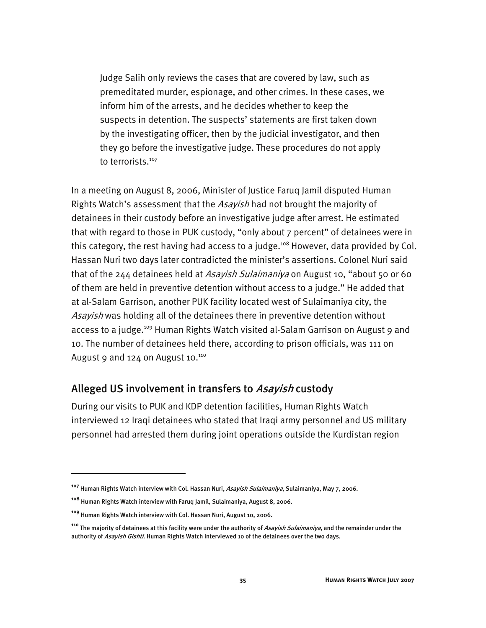Judge Salih only reviews the cases that are covered by law, such as premeditated murder, espionage, and other crimes. In these cases, we inform him of the arrests, and he decides whether to keep the suspects in detention. The suspects' statements are first taken down by the investigating officer, then by the judicial investigator, and then they go before the investigative judge. These procedures do not apply to terrorists.<sup>107</sup>

In a meeting on August 8, 2006, Minister of Justice Faruq Jamil disputed Human Rights Watch's assessment that the *Asayish* had not brought the majority of detainees in their custody before an investigative judge after arrest. He estimated that with regard to those in PUK custody, "only about 7 percent" of detainees were in this category, the rest having had access to a judge.<sup>108</sup> However, data provided by Col. Hassan Nuri two days later contradicted the minister's assertions. Colonel Nuri said that of the 244 detainees held at Asayish Sulaimaniya on August 10, "about 50 or 60 of them are held in preventive detention without access to a judge." He added that at al-Salam Garrison, another PUK facility located west of Sulaimaniya city, the Asavish was holding all of the detainees there in preventive detention without access to a judge.<sup>109</sup> Human Rights Watch visited al-Salam Garrison on August 9 and 10. The number of detainees held there, according to prison officials, was 111 on August 9 and  $124$  on August 10. $110$ 

#### Alleged US involvement in transfers to *Asayish* custody

During our visits to PUK and KDP detention facilities, Human Rights Watch interviewed 12 Iraqi detainees who stated that Iraqi army personnel and US military personnel had arrested them during joint operations outside the Kurdistan region

j

**<sup>107</sup>** Human Rights Watch interview with Col. Hassan Nuri, Asayish Sulaimaniya, Sulaimaniya, May 7, 2006.

**<sup>108</sup>** Human Rights Watch interview with Faruq Jamil, Sulaimaniya, August 8, 2006.

**<sup>109</sup>** Human Rights Watch interview with Col. Hassan Nuri, August 10, 2006.

**<sup>110</sup>** The majority of detainees at this facility were under the authority of Asayish Sulaimaniya, and the remainder under the authority of *Asayish Gishti*. Human Rights Watch interviewed 10 of the detainees over the two days.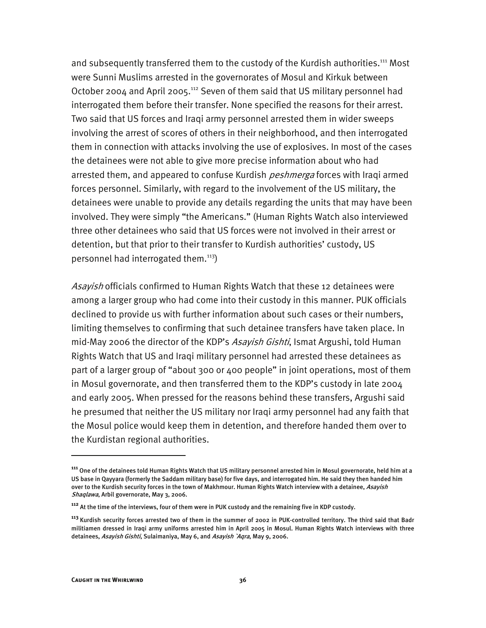and subsequently transferred them to the custody of the Kurdish authorities.<sup>111</sup> Most were Sunni Muslims arrested in the governorates of Mosul and Kirkuk between October 2004 and April 2005.<sup>112</sup> Seven of them said that US military personnel had interrogated them before their transfer. None specified the reasons for their arrest. Two said that US forces and Iraqi army personnel arrested them in wider sweeps involving the arrest of scores of others in their neighborhood, and then interrogated them in connection with attacks involving the use of explosives. In most of the cases the detainees were not able to give more precise information about who had arrested them, and appeared to confuse Kurdish *peshmerga* forces with Iraqi armed forces personnel. Similarly, with regard to the involvement of the US military, the detainees were unable to provide any details regarding the units that may have been involved. They were simply "the Americans." (Human Rights Watch also interviewed three other detainees who said that US forces were not involved in their arrest or detention, but that prior to their transfer to Kurdish authorities' custody, US personnel had interrogated them.113)

Asayish officials confirmed to Human Rights Watch that these 12 detainees were among a larger group who had come into their custody in this manner. PUK officials declined to provide us with further information about such cases or their numbers, limiting themselves to confirming that such detainee transfers have taken place. In mid-May 2006 the director of the KDP's Asayish Gishti, Ismat Argushi, told Human Rights Watch that US and Iraqi military personnel had arrested these detainees as part of a larger group of "about 300 or 400 people" in joint operations, most of them in Mosul governorate, and then transferred them to the KDP's custody in late 2004 and early 2005. When pressed for the reasons behind these transfers, Argushi said he presumed that neither the US military nor Iraqi army personnel had any faith that the Mosul police would keep them in detention, and therefore handed them over to the Kurdistan regional authorities.

**<sup>111</sup>** One of the detainees told Human Rights Watch that US military personnel arrested him in Mosul governorate, held him at a US base in Qayyara (formerly the Saddam military base) for five days, and interrogated him. He said they then handed him over to the Kurdish security forces in the town of Makhmour. Human Rights Watch interview with a detainee, Asayish Shaqlawa, Arbil governorate, May 3, 2006.

**<sup>112</sup>** At the time of the interviews, four of them were in PUK custody and the remaining five in KDP custody.

**<sup>113</sup>** Kurdish security forces arrested two of them in the summer of 2002 in PUK-controlled territory. The third said that Badr militiamen dressed in Iraqi army uniforms arrested him in April 2005 in Mosul. Human Rights Watch interviews with three detainees, Asavish Gishti, Sulaimaniya, May 6, and Asavish `Aqra, May 9, 2006.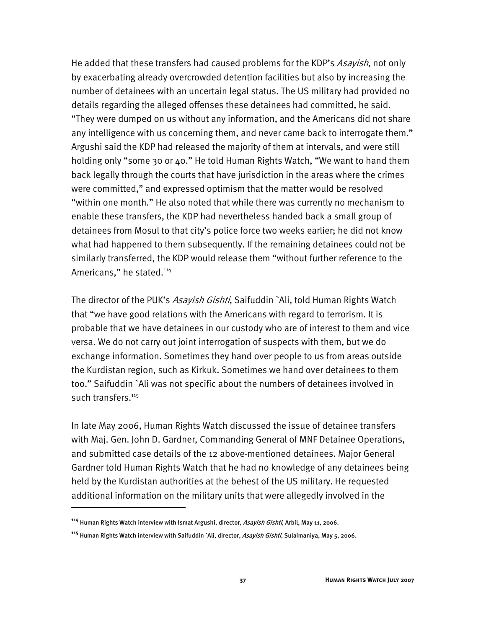He added that these transfers had caused problems for the KDP's Asayish, not only by exacerbating already overcrowded detention facilities but also by increasing the number of detainees with an uncertain legal status. The US military had provided no details regarding the alleged offenses these detainees had committed, he said. "They were dumped on us without any information, and the Americans did not share any intelligence with us concerning them, and never came back to interrogate them." Argushi said the KDP had released the majority of them at intervals, and were still holding only "some 30 or 40." He told Human Rights Watch, "We want to hand them back legally through the courts that have jurisdiction in the areas where the crimes were committed," and expressed optimism that the matter would be resolved "within one month." He also noted that while there was currently no mechanism to enable these transfers, the KDP had nevertheless handed back a small group of detainees from Mosul to that city's police force two weeks earlier; he did not know what had happened to them subsequently. If the remaining detainees could not be similarly transferred, the KDP would release them "without further reference to the Americans," he stated.<sup>114</sup>

The director of the PUK's Asayish Gishti, Saifuddin `Ali, told Human Rights Watch that "we have good relations with the Americans with regard to terrorism. It is probable that we have detainees in our custody who are of interest to them and vice versa. We do not carry out joint interrogation of suspects with them, but we do exchange information. Sometimes they hand over people to us from areas outside the Kurdistan region, such as Kirkuk. Sometimes we hand over detainees to them too." Saifuddin `Ali was not specific about the numbers of detainees involved in such transfers.<sup>115</sup>

In late May 2006, Human Rights Watch discussed the issue of detainee transfers with Maj. Gen. John D. Gardner, Commanding General of MNF Detainee Operations, and submitted case details of the 12 above-mentioned detainees. Major General Gardner told Human Rights Watch that he had no knowledge of any detainees being held by the Kurdistan authorities at the behest of the US military. He requested additional information on the military units that were allegedly involved in the

**<sup>114</sup>** Human Rights Watch interview with Ismat Argushi, director, Asayish Gishti, Arbil, May 11, 2006.

**<sup>115</sup>** Human Rights Watch interview with Saifuddin `Ali, director, Asayish Gishti, Sulaimaniya, May 5, 2006.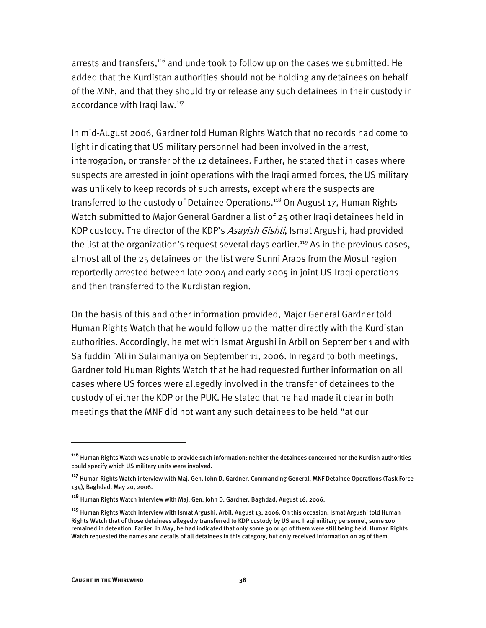arrests and transfers,<sup>116</sup> and undertook to follow up on the cases we submitted. He added that the Kurdistan authorities should not be holding any detainees on behalf of the MNF, and that they should try or release any such detainees in their custody in accordance with Iraqi law.<sup>117</sup>

In mid-August 2006, Gardner told Human Rights Watch that no records had come to light indicating that US military personnel had been involved in the arrest, interrogation, or transfer of the 12 detainees. Further, he stated that in cases where suspects are arrested in joint operations with the Iraqi armed forces, the US military was unlikely to keep records of such arrests, except where the suspects are transferred to the custody of Detainee Operations.<sup>118</sup> On August 17, Human Rights Watch submitted to Major General Gardner a list of 25 other Iraqi detainees held in KDP custody. The director of the KDP's Asayish Gishti, Ismat Argushi, had provided the list at the organization's request several days earlier.<sup>119</sup> As in the previous cases, almost all of the 25 detainees on the list were Sunni Arabs from the Mosul region reportedly arrested between late 2004 and early 2005 in joint US-Iraqi operations and then transferred to the Kurdistan region.

On the basis of this and other information provided, Major General Gardner told Human Rights Watch that he would follow up the matter directly with the Kurdistan authorities. Accordingly, he met with Ismat Argushi in Arbil on September 1 and with Saifuddin `Ali in Sulaimaniya on September 11, 2006. In regard to both meetings, Gardner told Human Rights Watch that he had requested further information on all cases where US forces were allegedly involved in the transfer of detainees to the custody of either the KDP or the PUK. He stated that he had made it clear in both meetings that the MNF did not want any such detainees to be held "at our

**<sup>116</sup>** Human Rights Watch was unable to provide such information: neither the detainees concerned nor the Kurdish authorities could specify which US military units were involved.

**<sup>117</sup>** Human Rights Watch interview with Maj. Gen. John D. Gardner, Commanding General, MNF Detainee Operations (Task Force 134), Baghdad, May 20, 2006.

**<sup>118</sup>** Human Rights Watch interview with Maj. Gen. John D. Gardner, Baghdad, August 16, 2006.

**<sup>119</sup>** Human Rights Watch interview with Ismat Argushi, Arbil, August 13, 2006. On this occasion, Ismat Argushi told Human Rights Watch that of those detainees allegedly transferred to KDP custody by US and Iraqi military personnel, some 100 remained in detention. Earlier, in May, he had indicated that only some 30 or 40 of them were still being held. Human Rights Watch requested the names and details of all detainees in this category, but only received information on 25 of them.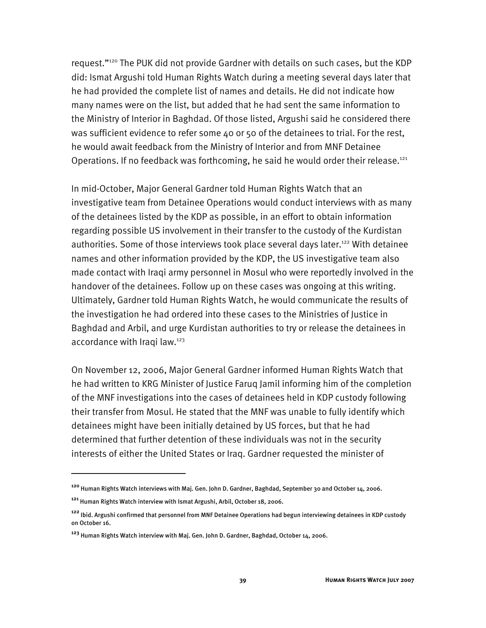request."120 The PUK did not provide Gardner with details on such cases, but the KDP did: Ismat Argushi told Human Rights Watch during a meeting several days later that he had provided the complete list of names and details. He did not indicate how many names were on the list, but added that he had sent the same information to the Ministry of Interior in Baghdad. Of those listed, Argushi said he considered there was sufficient evidence to refer some 40 or 50 of the detainees to trial. For the rest, he would await feedback from the Ministry of Interior and from MNF Detainee Operations. If no feedback was forthcoming, he said he would order their release.<sup>121</sup>

In mid-October, Major General Gardner told Human Rights Watch that an investigative team from Detainee Operations would conduct interviews with as many of the detainees listed by the KDP as possible, in an effort to obtain information regarding possible US involvement in their transfer to the custody of the Kurdistan authorities. Some of those interviews took place several days later.<sup>122</sup> With detainee names and other information provided by the KDP, the US investigative team also made contact with Iraqi army personnel in Mosul who were reportedly involved in the handover of the detainees. Follow up on these cases was ongoing at this writing. Ultimately, Gardner told Human Rights Watch, he would communicate the results of the investigation he had ordered into these cases to the Ministries of Justice in Baghdad and Arbil, and urge Kurdistan authorities to try or release the detainees in accordance with Iraqi law.<sup>123</sup>

On November 12, 2006, Major General Gardner informed Human Rights Watch that he had written to KRG Minister of Justice Faruq Jamil informing him of the completion of the MNF investigations into the cases of detainees held in KDP custody following their transfer from Mosul. He stated that the MNF was unable to fully identify which detainees might have been initially detained by US forces, but that he had determined that further detention of these individuals was not in the security interests of either the United States or Iraq. Gardner requested the minister of

**<sup>120</sup>** Human Rights Watch interviews with Maj. Gen. John D. Gardner, Baghdad, September 30 and October 14, 2006.

**<sup>121</sup>** Human Rights Watch interview with Ismat Argushi, Arbil, October 18, 2006.

**<sup>122</sup>** Ibid. Argushi confirmed that personnel from MNF Detainee Operations had begun interviewing detainees in KDP custody on October 16.

**<sup>123</sup>** Human Rights Watch interview with Maj. Gen. John D. Gardner, Baghdad, October 14, 2006.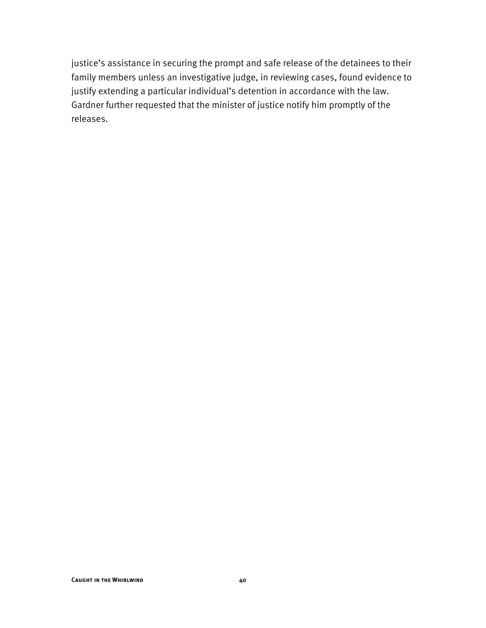justice's assistance in securing the prompt and safe release of the detainees to their family members unless an investigative judge, in reviewing cases, found evidence to justify extending a particular individual's detention in accordance with the law. Gardner further requested that the minister of justice notify him promptly of the releases.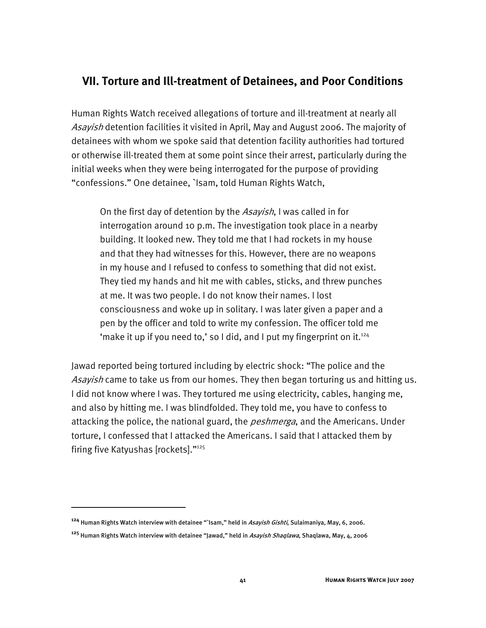#### **VII. Torture and Ill-treatment of Detainees, and Poor Conditions**

Human Rights Watch received allegations of torture and ill-treatment at nearly all Asayish detention facilities it visited in April, May and August 2006. The majority of detainees with whom we spoke said that detention facility authorities had tortured or otherwise ill-treated them at some point since their arrest, particularly during the initial weeks when they were being interrogated for the purpose of providing "confessions." One detainee, `Isam, told Human Rights Watch,

On the first day of detention by the Asayish, I was called in for interrogation around 10 p.m. The investigation took place in a nearby building. It looked new. They told me that I had rockets in my house and that they had witnesses for this. However, there are no weapons in my house and I refused to confess to something that did not exist. They tied my hands and hit me with cables, sticks, and threw punches at me. It was two people. I do not know their names. I lost consciousness and woke up in solitary. I was later given a paper and a pen by the officer and told to write my confession. The officer told me 'make it up if you need to,' so I did, and I put my fingerprint on it.<sup>124</sup>

Jawad reported being tortured including by electric shock: "The police and the Asayish came to take us from our homes. They then began torturing us and hitting us. I did not know where I was. They tortured me using electricity, cables, hanging me, and also by hitting me. I was blindfolded. They told me, you have to confess to attacking the police, the national guard, the *peshmerga*, and the Americans. Under torture, I confessed that I attacked the Americans. I said that I attacked them by firing five Katyushas [rockets]."125

**<sup>124</sup>** Human Rights Watch interview with detainee "`Isam," held in Asayish Gishti, Sulaimaniya, May, 6, 2006.

**<sup>125</sup>** Human Rights Watch interview with detainee "Jawad," held in Asayish Shaqlawa, Shaqlawa, May, 4, 2006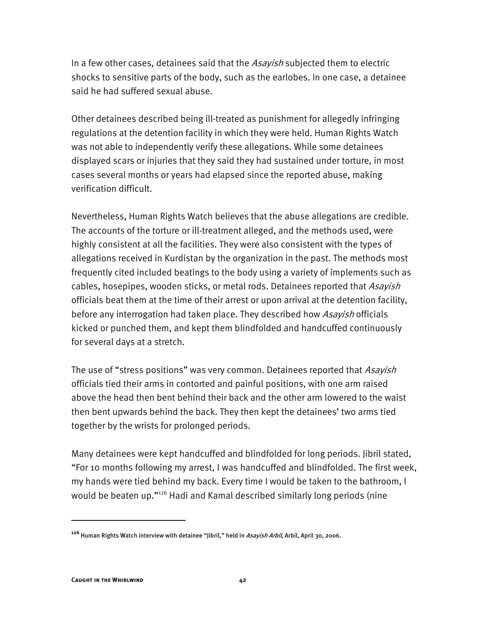In a few other cases, detainees said that the *Asayish* subjected them to electric shocks to sensitive parts of the body, such as the earlobes. In one case, a detainee said he had suffered sexual abuse.

Other detainees described being ill-treated as punishment for allegedly infringing regulations at the detention facility in which they were held. Human Rights Watch was not able to independently verify these allegations. While some detainees displayed scars or injuries that they said they had sustained under torture, in most cases several months or years had elapsed since the reported abuse, making verification difficult.

Nevertheless, Human Rights Watch believes that the abuse allegations are credible. The accounts of the torture or ill-treatment alleged, and the methods used, were highly consistent at all the facilities. They were also consistent with the types of allegations received in Kurdistan by the organization in the past. The methods most frequently cited included beatings to the body using a variety of implements such as cables, hosepipes, wooden sticks, or metal rods. Detainees reported that Asayish officials beat them at the time of their arrest or upon arrival at the detention facility, before any interrogation had taken place. They described how *Asayish* officials kicked or punched them, and kept them blindfolded and handcuffed continuously for several days at a stretch.

The use of "stress positions" was very common. Detainees reported that Asayish officials tied their arms in contorted and painful positions, with one arm raised above the head then bent behind their back and the other arm lowered to the waist then bent upwards behind the back. They then kept the detainees' two arms tied together by the wrists for prolonged periods.

Many detainees were kept handcuffed and blindfolded for long periods. Jibril stated, "For 10 months following my arrest, I was handcuffed and blindfolded. The first week, my hands were tied behind my back. Every time I would be taken to the bathroom, I would be beaten up."126 Hadi and Kamal described similarly long periods (nine

**<sup>126</sup>** Human Rights Watch interview with detainee "Jibril," held in Asayish Arbil, Arbil, April 30, 2006.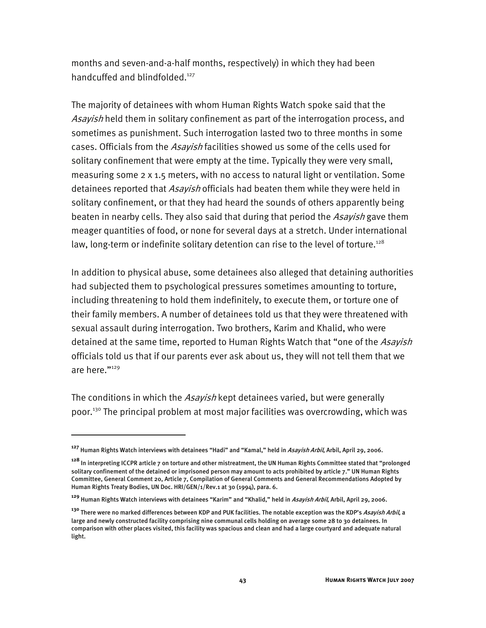months and seven-and-a-half months, respectively) in which they had been handcuffed and blindfolded.<sup>127</sup>

The majority of detainees with whom Human Rights Watch spoke said that the Asayish held them in solitary confinement as part of the interrogation process, and sometimes as punishment. Such interrogation lasted two to three months in some cases. Officials from the Asayish facilities showed us some of the cells used for solitary confinement that were empty at the time. Typically they were very small, measuring some 2 x 1.5 meters, with no access to natural light or ventilation. Some detainees reported that *Asayish* officials had beaten them while they were held in solitary confinement, or that they had heard the sounds of others apparently being beaten in nearby cells. They also said that during that period the *Asayish* gave them meager quantities of food, or none for several days at a stretch. Under international law, long-term or indefinite solitary detention can rise to the level of torture.<sup>128</sup>

In addition to physical abuse, some detainees also alleged that detaining authorities had subjected them to psychological pressures sometimes amounting to torture, including threatening to hold them indefinitely, to execute them, or torture one of their family members. A number of detainees told us that they were threatened with sexual assault during interrogation. Two brothers, Karim and Khalid, who were detained at the same time, reported to Human Rights Watch that "one of the Asayish officials told us that if our parents ever ask about us, they will not tell them that we are here."129

The conditions in which the *Asayish* kept detainees varied, but were generally poor.130 The principal problem at most major facilities was overcrowding, which was

**<sup>127</sup>** Human Rights Watch interviews with detainees "Hadi" and "Kamal," held in Asayish Arbil, Arbil, April 29, 2006.

**<sup>128</sup>** In interpreting ICCPR article 7 on torture and other mistreatment, the UN Human Rights Committee stated that "prolonged solitary confinement of the detained or imprisoned person may amount to acts prohibited by article 7." UN Human Rights Committee, General Comment 20, Article 7, Compilation of General Comments and General Recommendations Adopted by Human Rights Treaty Bodies, UN Doc. HRI/GEN/1/Rev.1 at 30 (1994), para. 6.

**<sup>129</sup>** Human Rights Watch interviews with detainees "Karim" and "Khalid," held in Asayish Arbil, Arbil, April 29, 2006.

**<sup>130</sup>** There were no marked differences between KDP and PUK facilities. The notable exception was the KDP's Asayish Arbil, a large and newly constructed facility comprising nine communal cells holding on average some 28 to 30 detainees. In comparison with other places visited, this facility was spacious and clean and had a large courtyard and adequate natural light.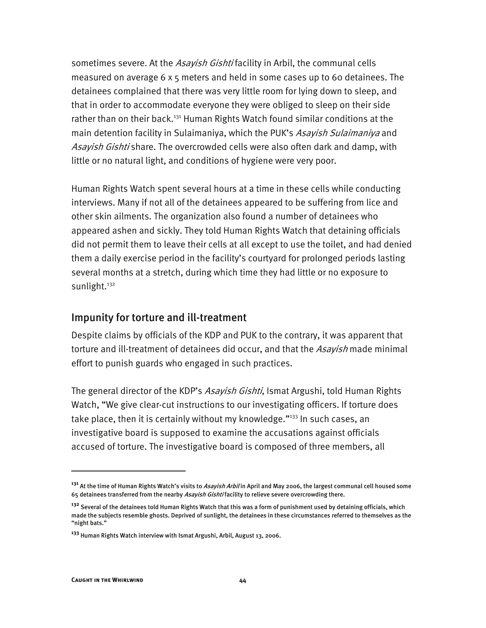sometimes severe. At the Asayish Gishtifacility in Arbil, the communal cells measured on average 6 x 5 meters and held in some cases up to 60 detainees. The detainees complained that there was very little room for lying down to sleep, and that in order to accommodate everyone they were obliged to sleep on their side rather than on their back.<sup>131</sup> Human Rights Watch found similar conditions at the main detention facility in Sulaimaniya, which the PUK's Asayish Sulaimaniya and Asayish Gishti share. The overcrowded cells were also often dark and damp, with little or no natural light, and conditions of hygiene were very poor.

Human Rights Watch spent several hours at a time in these cells while conducting interviews. Many if not all of the detainees appeared to be suffering from lice and other skin ailments. The organization also found a number of detainees who appeared ashen and sickly. They told Human Rights Watch that detaining officials did not permit them to leave their cells at all except to use the toilet, and had denied them a daily exercise period in the facility's courtyard for prolonged periods lasting several months at a stretch, during which time they had little or no exposure to sunlight.<sup>132</sup>

#### Impunity for torture and ill-treatment

Despite claims by officials of the KDP and PUK to the contrary, it was apparent that torture and ill-treatment of detainees did occur, and that the Asayish made minimal effort to punish guards who engaged in such practices.

The general director of the KDP's *Asayish Gishti*, Ismat Argushi, told Human Rights Watch, "We give clear-cut instructions to our investigating officers. If torture does take place, then it is certainly without my knowledge."<sup>133</sup> In such cases, an investigative board is supposed to examine the accusations against officials accused of torture. The investigative board is composed of three members, all

**<sup>131</sup>** At the time of Human Rights Watch's visits to Asayish Arbil in April and May 2006, the largest communal cell housed some 65 detainees transferred from the nearby Asayish Gishtifacility to relieve severe overcrowding there.

**<sup>132</sup>** Several of the detainees told Human Rights Watch that this was a form of punishment used by detaining officials, which made the subjects resemble ghosts. Deprived of sunlight, the detainees in these circumstances referred to themselves as the "night bats."

**<sup>133</sup>** Human Rights Watch interview with Ismat Argushi, Arbil, August 13, 2006.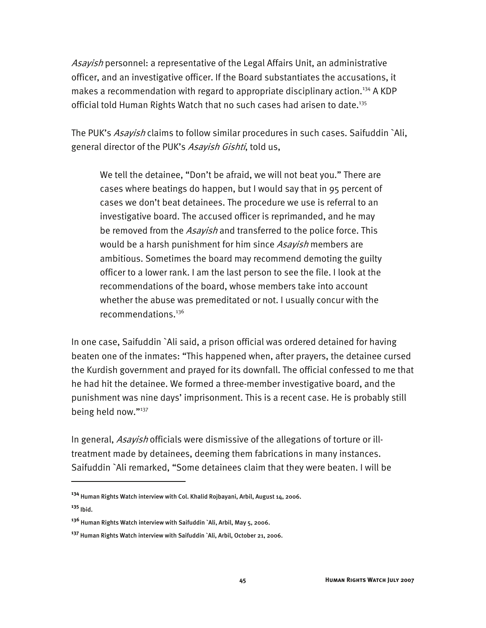Asayish personnel: a representative of the Legal Affairs Unit, an administrative officer, and an investigative officer. If the Board substantiates the accusations, it makes a recommendation with regard to appropriate disciplinary action.<sup>134</sup> A KDP official told Human Rights Watch that no such cases had arisen to date.<sup>135</sup>

The PUK's *Asayish* claims to follow similar procedures in such cases. Saifuddin `Ali, general director of the PUK's Asayish Gishti, told us,

We tell the detainee, "Don't be afraid, we will not beat you." There are cases where beatings do happen, but I would say that in 95 percent of cases we don't beat detainees. The procedure we use is referral to an investigative board. The accused officer is reprimanded, and he may be removed from the *Asayish* and transferred to the police force. This would be a harsh punishment for him since Asayish members are ambitious. Sometimes the board may recommend demoting the guilty officer to a lower rank. I am the last person to see the file. I look at the recommendations of the board, whose members take into account whether the abuse was premeditated or not. I usually concur with the recommendations.136

In one case, Saifuddin `Ali said, a prison official was ordered detained for having beaten one of the inmates: "This happened when, after prayers, the detainee cursed the Kurdish government and prayed for its downfall. The official confessed to me that he had hit the detainee. We formed a three-member investigative board, and the punishment was nine days' imprisonment. This is a recent case. He is probably still being held now."<sup>137</sup>

In general, Asayish officials were dismissive of the allegations of torture or illtreatment made by detainees, deeming them fabrications in many instances. Saifuddin `Ali remarked, "Some detainees claim that they were beaten. I will be

j

**<sup>134</sup>** Human Rights Watch interview with Col. Khalid Rojbayani, Arbil, August 14, 2006.

**<sup>135</sup>** Ibid.

**<sup>136</sup>** Human Rights Watch interview with Saifuddin `Ali, Arbil, May 5, 2006.

**<sup>137</sup>** Human Rights Watch interview with Saifuddin `Ali, Arbil, October 21, 2006.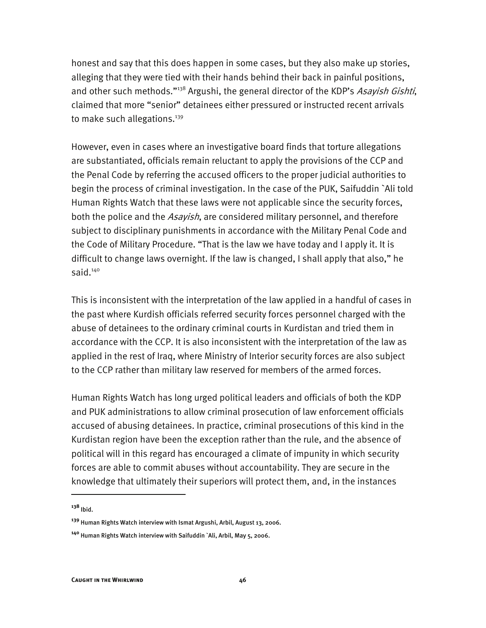honest and say that this does happen in some cases, but they also make up stories, alleging that they were tied with their hands behind their back in painful positions, and other such methods."<sup>138</sup> Argushi, the general director of the KDP's Asayish Gishti, claimed that more "senior" detainees either pressured or instructed recent arrivals to make such allegations.<sup>139</sup>

However, even in cases where an investigative board finds that torture allegations are substantiated, officials remain reluctant to apply the provisions of the CCP and the Penal Code by referring the accused officers to the proper judicial authorities to begin the process of criminal investigation. In the case of the PUK, Saifuddin `Ali told Human Rights Watch that these laws were not applicable since the security forces, both the police and the Asayish, are considered military personnel, and therefore subject to disciplinary punishments in accordance with the Military Penal Code and the Code of Military Procedure. "That is the law we have today and I apply it. It is difficult to change laws overnight. If the law is changed, I shall apply that also," he said.140

This is inconsistent with the interpretation of the law applied in a handful of cases in the past where Kurdish officials referred security forces personnel charged with the abuse of detainees to the ordinary criminal courts in Kurdistan and tried them in accordance with the CCP. It is also inconsistent with the interpretation of the law as applied in the rest of Iraq, where Ministry of Interior security forces are also subject to the CCP rather than military law reserved for members of the armed forces.

Human Rights Watch has long urged political leaders and officials of both the KDP and PUK administrations to allow criminal prosecution of law enforcement officials accused of abusing detainees. In practice, criminal prosecutions of this kind in the Kurdistan region have been the exception rather than the rule, and the absence of political will in this regard has encouraged a climate of impunity in which security forces are able to commit abuses without accountability. They are secure in the knowledge that ultimately their superiors will protect them, and, in the instances

**<sup>138</sup>** Ibid.

**<sup>139</sup>** Human Rights Watch interview with Ismat Argushi, Arbil, August 13, 2006.

**<sup>140</sup>** Human Rights Watch interview with Saifuddin `Ali, Arbil, May 5, 2006.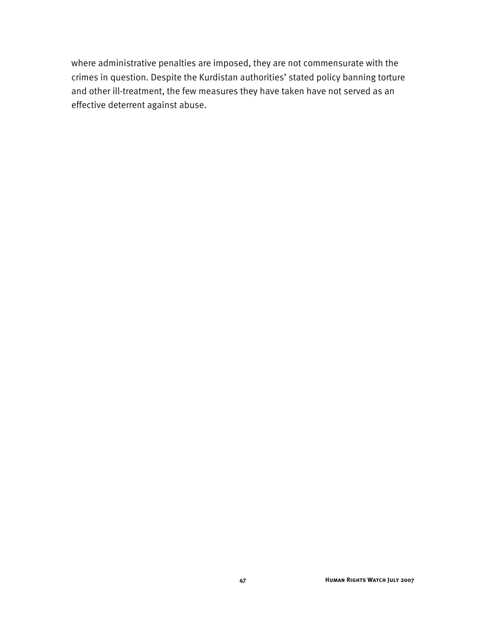where administrative penalties are imposed, they are not commensurate with the crimes in question. Despite the Kurdistan authorities' stated policy banning torture and other ill-treatment, the few measures they have taken have not served as an effective deterrent against abuse.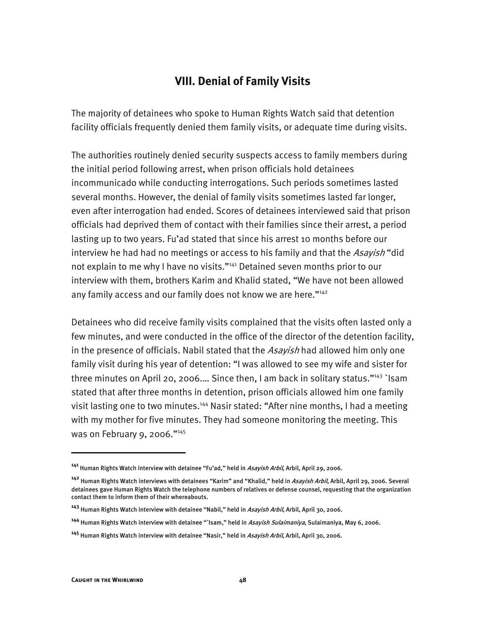#### **VIII. Denial of Family Visits**

The majority of detainees who spoke to Human Rights Watch said that detention facility officials frequently denied them family visits, or adequate time during visits.

The authorities routinely denied security suspects access to family members during the initial period following arrest, when prison officials hold detainees incommunicado while conducting interrogations. Such periods sometimes lasted several months. However, the denial of family visits sometimes lasted far longer, even after interrogation had ended. Scores of detainees interviewed said that prison officials had deprived them of contact with their families since their arrest, a period lasting up to two years. Fu'ad stated that since his arrest 10 months before our interview he had had no meetings or access to his family and that the Asayish "did not explain to me why I have no visits."<sup>141</sup> Detained seven months prior to our interview with them, brothers Karim and Khalid stated, "We have not been allowed any family access and our family does not know we are here."<sup>142</sup>

Detainees who did receive family visits complained that the visits often lasted only a few minutes, and were conducted in the office of the director of the detention facility, in the presence of officials. Nabil stated that the Asayish had allowed him only one family visit during his year of detention: "I was allowed to see my wife and sister for three minutes on April 20, 2006.... Since then, I am back in solitary status."<sup>143</sup> `Isam stated that after three months in detention, prison officials allowed him one family visit lasting one to two minutes.<sup>144</sup> Nasir stated: "After nine months, I had a meeting with my mother for five minutes. They had someone monitoring the meeting. This was on February 9, 2006."145

j

**<sup>141</sup>** Human Rights Watch interview with detainee "Fu'ad," held in Asayish Arbil, Arbil, April 29, 2006.

**<sup>142</sup>** Human Rights Watch interviews with detainees "Karim" and "Khalid," held in Asayish Arbil, Arbil, April 29, 2006. Several detainees gave Human Rights Watch the telephone numbers of relatives or defense counsel, requesting that the organization contact them to inform them of their whereabouts.

**<sup>143</sup>** Human Rights Watch interview with detainee "Nabil," held in Asayish Arbil, Arbil, April 30, 2006.

**<sup>144</sup>** Human Rights Watch interview with detainee "`Isam," held in Asayish Sulaimaniya, Sulaimaniya, May 6, 2006.

**<sup>145</sup>** Human Rights Watch interview with detainee "Nasir," held in Asayish Arbil, Arbil, April 30, 2006.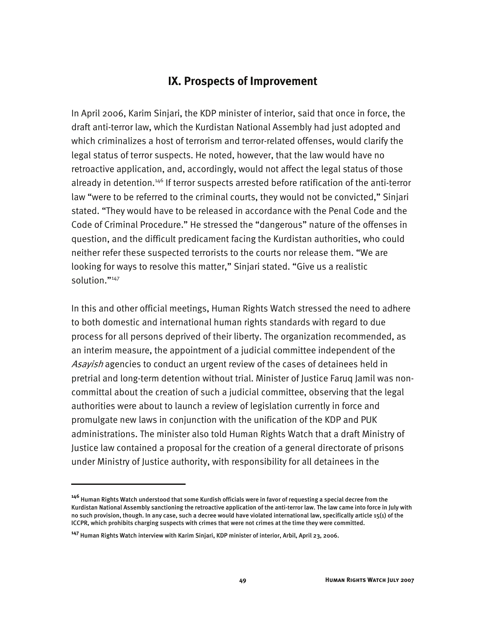#### **IX. Prospects of Improvement**

In April 2006, Karim Sinjari, the KDP minister of interior, said that once in force, the draft anti-terror law, which the Kurdistan National Assembly had just adopted and which criminalizes a host of terrorism and terror-related offenses, would clarify the legal status of terror suspects. He noted, however, that the law would have no retroactive application, and, accordingly, would not affect the legal status of those already in detention.<sup>146</sup> If terror suspects arrested before ratification of the anti-terror law "were to be referred to the criminal courts, they would not be convicted," Sinjari stated. "They would have to be released in accordance with the Penal Code and the Code of Criminal Procedure." He stressed the "dangerous" nature of the offenses in question, and the difficult predicament facing the Kurdistan authorities, who could neither refer these suspected terrorists to the courts nor release them. "We are looking for ways to resolve this matter," Sinjari stated. "Give us a realistic solution."<sup>147</sup>

In this and other official meetings, Human Rights Watch stressed the need to adhere to both domestic and international human rights standards with regard to due process for all persons deprived of their liberty. The organization recommended, as an interim measure, the appointment of a judicial committee independent of the Asayish agencies to conduct an urgent review of the cases of detainees held in pretrial and long-term detention without trial. Minister of Justice Faruq Jamil was noncommittal about the creation of such a judicial committee, observing that the legal authorities were about to launch a review of legislation currently in force and promulgate new laws in conjunction with the unification of the KDP and PUK administrations. The minister also told Human Rights Watch that a draft Ministry of Justice law contained a proposal for the creation of a general directorate of prisons under Ministry of Justice authority, with responsibility for all detainees in the

**<sup>146</sup>** Human Rights Watch understood that some Kurdish officials were in favor of requesting a special decree from the Kurdistan National Assembly sanctioning the retroactive application of the anti-terror law. The law came into force in July with no such provision, though. In any case, such a decree would have violated international law, specifically article 15(1) of the ICCPR, which prohibits charging suspects with crimes that were not crimes at the time they were committed.

**<sup>147</sup>** Human Rights Watch interview with Karim Sinjari, KDP minister of interior, Arbil, April 23, 2006.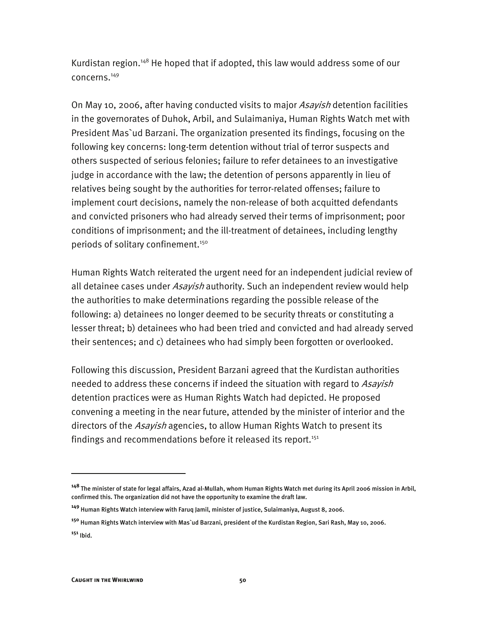Kurdistan region.<sup>148</sup> He hoped that if adopted, this law would address some of our concerns.149

On May 10, 2006, after having conducted visits to major *Asayish* detention facilities in the governorates of Duhok, Arbil, and Sulaimaniya, Human Rights Watch met with President Mas`ud Barzani. The organization presented its findings, focusing on the following key concerns: long-term detention without trial of terror suspects and others suspected of serious felonies; failure to refer detainees to an investigative judge in accordance with the law; the detention of persons apparently in lieu of relatives being sought by the authorities for terror-related offenses; failure to implement court decisions, namely the non-release of both acquitted defendants and convicted prisoners who had already served their terms of imprisonment; poor conditions of imprisonment; and the ill-treatment of detainees, including lengthy periods of solitary confinement.<sup>150</sup>

Human Rights Watch reiterated the urgent need for an independent judicial review of all detainee cases under *Asayish* authority. Such an independent review would help the authorities to make determinations regarding the possible release of the following: a) detainees no longer deemed to be security threats or constituting a lesser threat; b) detainees who had been tried and convicted and had already served their sentences; and c) detainees who had simply been forgotten or overlooked.

Following this discussion, President Barzani agreed that the Kurdistan authorities needed to address these concerns if indeed the situation with regard to Asayish detention practices were as Human Rights Watch had depicted. He proposed convening a meeting in the near future, attended by the minister of interior and the directors of the *Asayish* agencies, to allow Human Rights Watch to present its findings and recommendations before it released its report.<sup>151</sup>

j

**<sup>148</sup>** The minister of state for legal affairs, Azad al-Mullah, whom Human Rights Watch met during its April 2006 mission in Arbil, confirmed this. The organization did not have the opportunity to examine the draft law.

**<sup>149</sup>** Human Rights Watch interview with Faruq Jamil, minister of justice, Sulaimaniya, August 8, 2006.

**<sup>150</sup>** Human Rights Watch interview with Mas`ud Barzani, president of the Kurdistan Region, Sari Rash, May 10, 2006. **<sup>151</sup>** Ibid.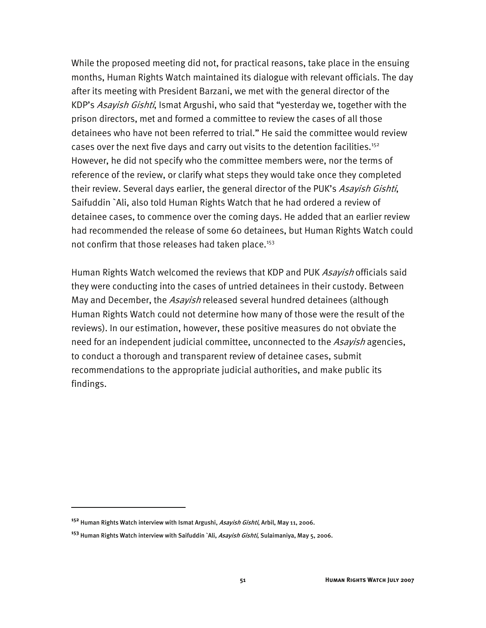While the proposed meeting did not, for practical reasons, take place in the ensuing months, Human Rights Watch maintained its dialogue with relevant officials. The day after its meeting with President Barzani, we met with the general director of the KDP's *Asayish Gishti*, Ismat Argushi, who said that "yesterday we, together with the prison directors, met and formed a committee to review the cases of all those detainees who have not been referred to trial." He said the committee would review cases over the next five days and carry out visits to the detention facilities.<sup>152</sup> However, he did not specify who the committee members were, nor the terms of reference of the review, or clarify what steps they would take once they completed their review. Several days earlier, the general director of the PUK's Asayish Gishti, Saifuddin `Ali, also told Human Rights Watch that he had ordered a review of detainee cases, to commence over the coming days. He added that an earlier review had recommended the release of some 60 detainees, but Human Rights Watch could not confirm that those releases had taken place.<sup>153</sup>

Human Rights Watch welcomed the reviews that KDP and PUK Asayish officials said they were conducting into the cases of untried detainees in their custody. Between May and December, the Asayish released several hundred detainees (although Human Rights Watch could not determine how many of those were the result of the reviews). In our estimation, however, these positive measures do not obviate the need for an independent judicial committee, unconnected to the Asayish agencies, to conduct a thorough and transparent review of detainee cases, submit recommendations to the appropriate judicial authorities, and make public its findings.

**<sup>152</sup>** Human Rights Watch interview with Ismat Argushi, Asayish Gishti, Arbil, May 11, 2006.

**<sup>153</sup>** Human Rights Watch interview with Saifuddin `Ali, Asayish Gishti, Sulaimaniya, May 5, 2006.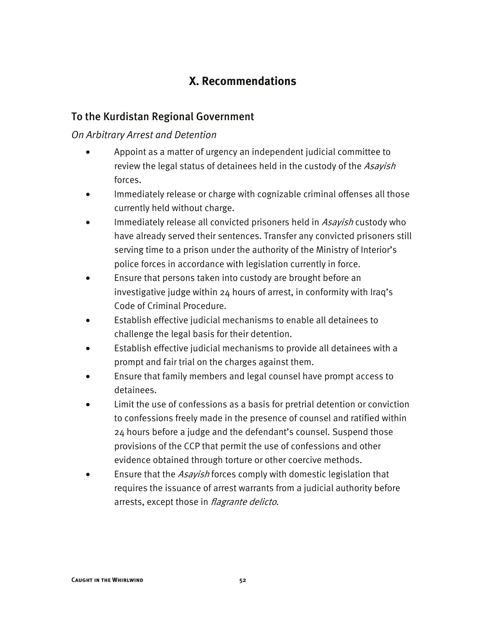#### **X. Recommendations**

#### To the Kurdistan Regional Government

#### *On Arbitrary Arrest and Detention*

- Appoint as a matter of urgency an independent judicial committee to review the legal status of detainees held in the custody of the Asayish forces.
- Immediately release or charge with cognizable criminal offenses all those currently held without charge.
- Immediately release all convicted prisoners held in Asayish custody who have already served their sentences. Transfer any convicted prisoners still serving time to a prison under the authority of the Ministry of Interior's police forces in accordance with legislation currently in force.
- Ensure that persons taken into custody are brought before an investigative judge within 24 hours of arrest, in conformity with Iraq's Code of Criminal Procedure.
- Establish effective judicial mechanisms to enable all detainees to challenge the legal basis for their detention.
- Establish effective judicial mechanisms to provide all detainees with a prompt and fair trial on the charges against them.
- Ensure that family members and legal counsel have prompt access to detainees.
- Limit the use of confessions as a basis for pretrial detention or conviction to confessions freely made in the presence of counsel and ratified within 24 hours before a judge and the defendant's counsel. Suspend those provisions of the CCP that permit the use of confessions and other evidence obtained through torture or other coercive methods.
- Ensure that the *Asayish* forces comply with domestic legislation that requires the issuance of arrest warrants from a judicial authority before arrests, except those in *flagrante delicto*.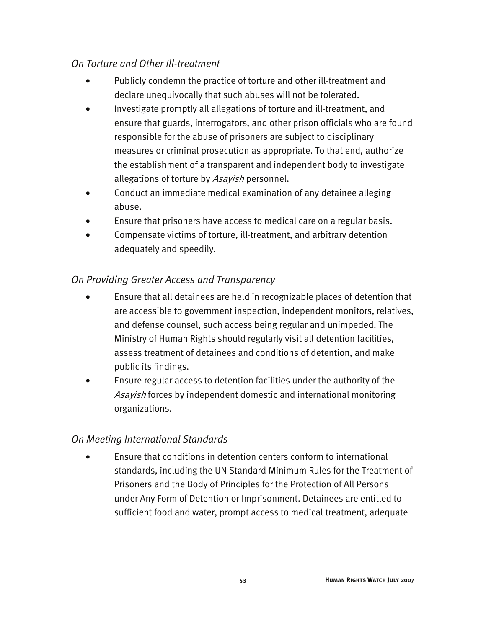#### *On Torture and Other Ill-treatment*

- Publicly condemn the practice of torture and other ill-treatment and declare unequivocally that such abuses will not be tolerated.
- Investigate promptly all allegations of torture and ill-treatment, and ensure that guards, interrogators, and other prison officials who are found responsible for the abuse of prisoners are subject to disciplinary measures or criminal prosecution as appropriate. To that end, authorize the establishment of a transparent and independent body to investigate allegations of torture by Asayish personnel.
- Conduct an immediate medical examination of any detainee alleging abuse.
- Ensure that prisoners have access to medical care on a regular basis.
- Compensate victims of torture, ill-treatment, and arbitrary detention adequately and speedily.

#### *On Providing Greater Access and Transparency*

- Ensure that all detainees are held in recognizable places of detention that are accessible to government inspection, independent monitors, relatives, and defense counsel, such access being regular and unimpeded. The Ministry of Human Rights should regularly visit all detention facilities, assess treatment of detainees and conditions of detention, and make public its findings.
- Ensure regular access to detention facilities under the authority of the Asayish forces by independent domestic and international monitoring organizations.

#### *On Meeting International Standards*

• Ensure that conditions in detention centers conform to international standards, including the UN Standard Minimum Rules for the Treatment of Prisoners and the Body of Principles for the Protection of All Persons under Any Form of Detention or Imprisonment. Detainees are entitled to sufficient food and water, prompt access to medical treatment, adequate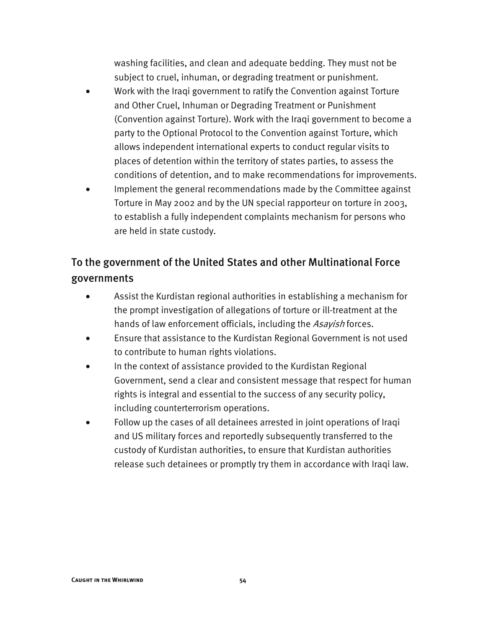washing facilities, and clean and adequate bedding. They must not be subject to cruel, inhuman, or degrading treatment or punishment.

- Work with the Iraqi government to ratify the Convention against Torture and Other Cruel, Inhuman or Degrading Treatment or Punishment (Convention against Torture). Work with the Iraqi government to become a party to the Optional Protocol to the Convention against Torture, which allows independent international experts to conduct regular visits to places of detention within the territory of states parties, to assess the conditions of detention, and to make recommendations for improvements.
- Implement the general recommendations made by the Committee against Torture in May 2002 and by the UN special rapporteur on torture in 2003, to establish a fully independent complaints mechanism for persons who are held in state custody.

#### To the government of the United States and other Multinational Force governments

- Assist the Kurdistan regional authorities in establishing a mechanism for the prompt investigation of allegations of torture or ill-treatment at the hands of law enforcement officials, including the *Asayish* forces.
- Ensure that assistance to the Kurdistan Regional Government is not used to contribute to human rights violations.
- In the context of assistance provided to the Kurdistan Regional Government, send a clear and consistent message that respect for human rights is integral and essential to the success of any security policy, including counterterrorism operations.
- Follow up the cases of all detainees arrested in joint operations of Iraqi and US military forces and reportedly subsequently transferred to the custody of Kurdistan authorities, to ensure that Kurdistan authorities release such detainees or promptly try them in accordance with Iraqi law.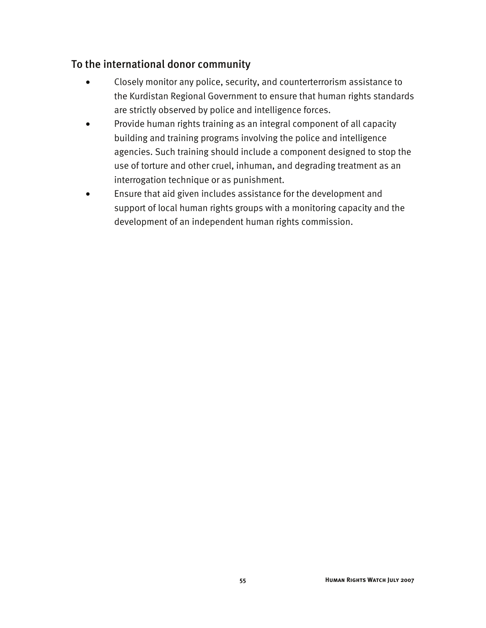#### To the international donor community

- Closely monitor any police, security, and counterterrorism assistance to the Kurdistan Regional Government to ensure that human rights standards are strictly observed by police and intelligence forces.
- Provide human rights training as an integral component of all capacity building and training programs involving the police and intelligence agencies. Such training should include a component designed to stop the use of torture and other cruel, inhuman, and degrading treatment as an interrogation technique or as punishment.
- Ensure that aid given includes assistance for the development and support of local human rights groups with a monitoring capacity and the development of an independent human rights commission.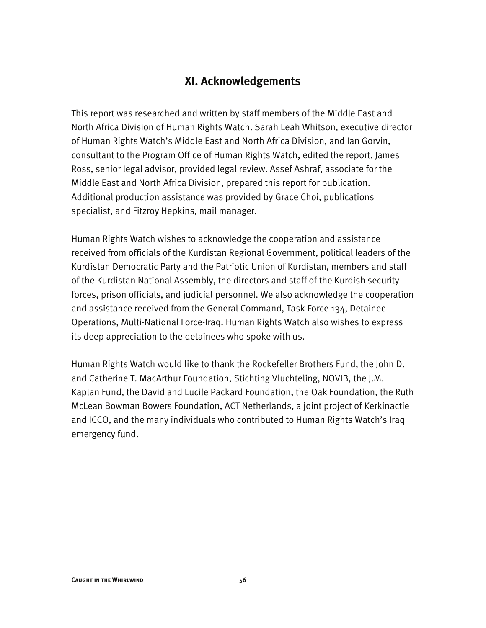#### **XI. Acknowledgements**

This report was researched and written by staff members of the Middle East and North Africa Division of Human Rights Watch. Sarah Leah Whitson, executive director of Human Rights Watch's Middle East and North Africa Division, and Ian Gorvin, consultant to the Program Office of Human Rights Watch, edited the report. James Ross, senior legal advisor, provided legal review. Assef Ashraf, associate for the Middle East and North Africa Division, prepared this report for publication. Additional production assistance was provided by Grace Choi, publications specialist, and Fitzroy Hepkins, mail manager.

Human Rights Watch wishes to acknowledge the cooperation and assistance received from officials of the Kurdistan Regional Government, political leaders of the Kurdistan Democratic Party and the Patriotic Union of Kurdistan, members and staff of the Kurdistan National Assembly, the directors and staff of the Kurdish security forces, prison officials, and judicial personnel. We also acknowledge the cooperation and assistance received from the General Command, Task Force 134, Detainee Operations, Multi-National Force-Iraq. Human Rights Watch also wishes to express its deep appreciation to the detainees who spoke with us.

Human Rights Watch would like to thank the Rockefeller Brothers Fund, the John D. and Catherine T. MacArthur Foundation, Stichting Vluchteling, NOVIB, the J.M. Kaplan Fund, the David and Lucile Packard Foundation, the Oak Foundation, the Ruth McLean Bowman Bowers Foundation, ACT Netherlands, a joint project of Kerkinactie and ICCO, and the many individuals who contributed to Human Rights Watch's Iraq emergency fund.